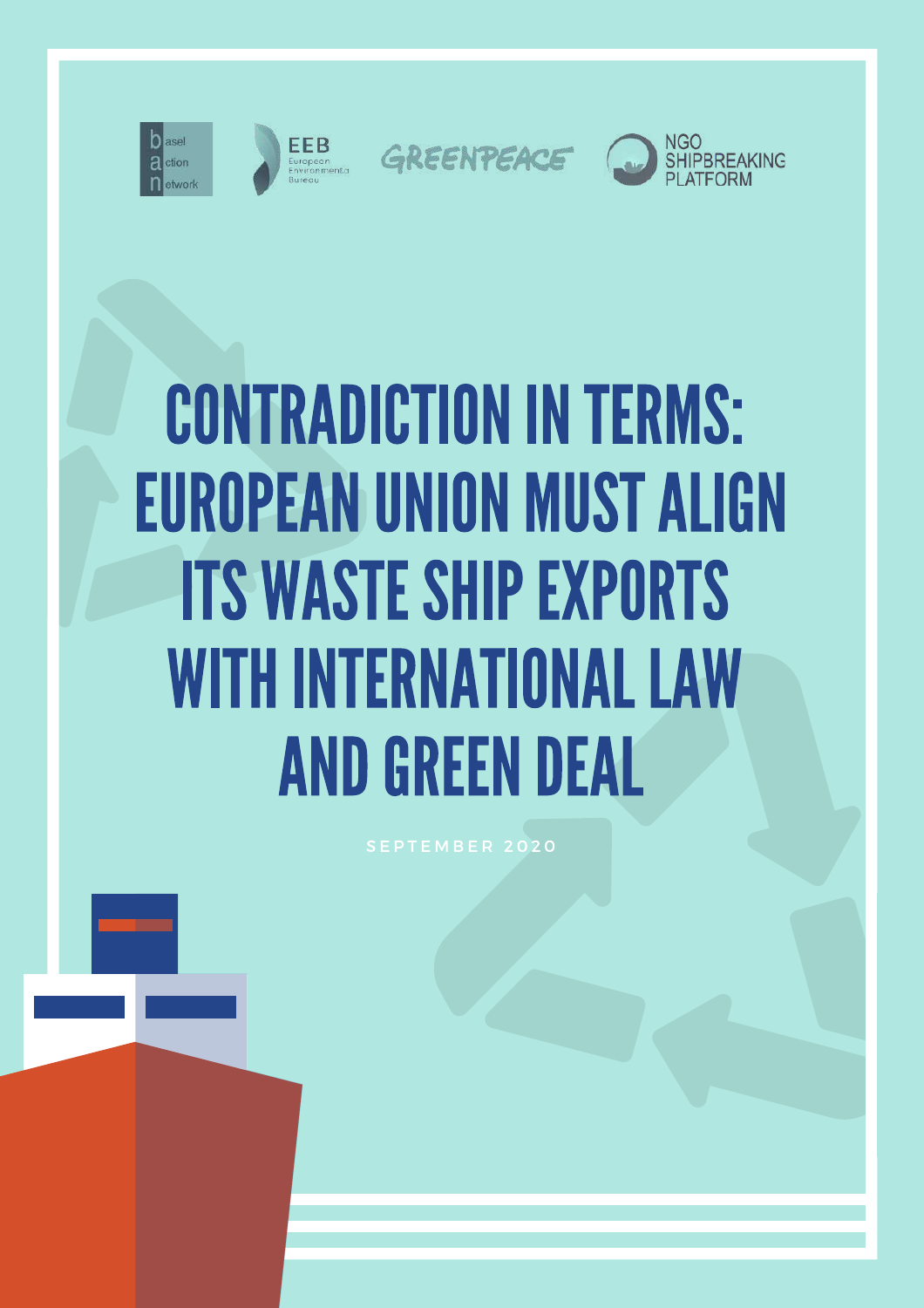





GREENPEACE



# **CONTRADICTION IN TERMS: EUROPEAN UNION MUST ALIGN ITS WASTE SHIP EXPORTS WITH INTERNATIONAL LAW AND GREEN DEAL**

SEPTEMBER 2020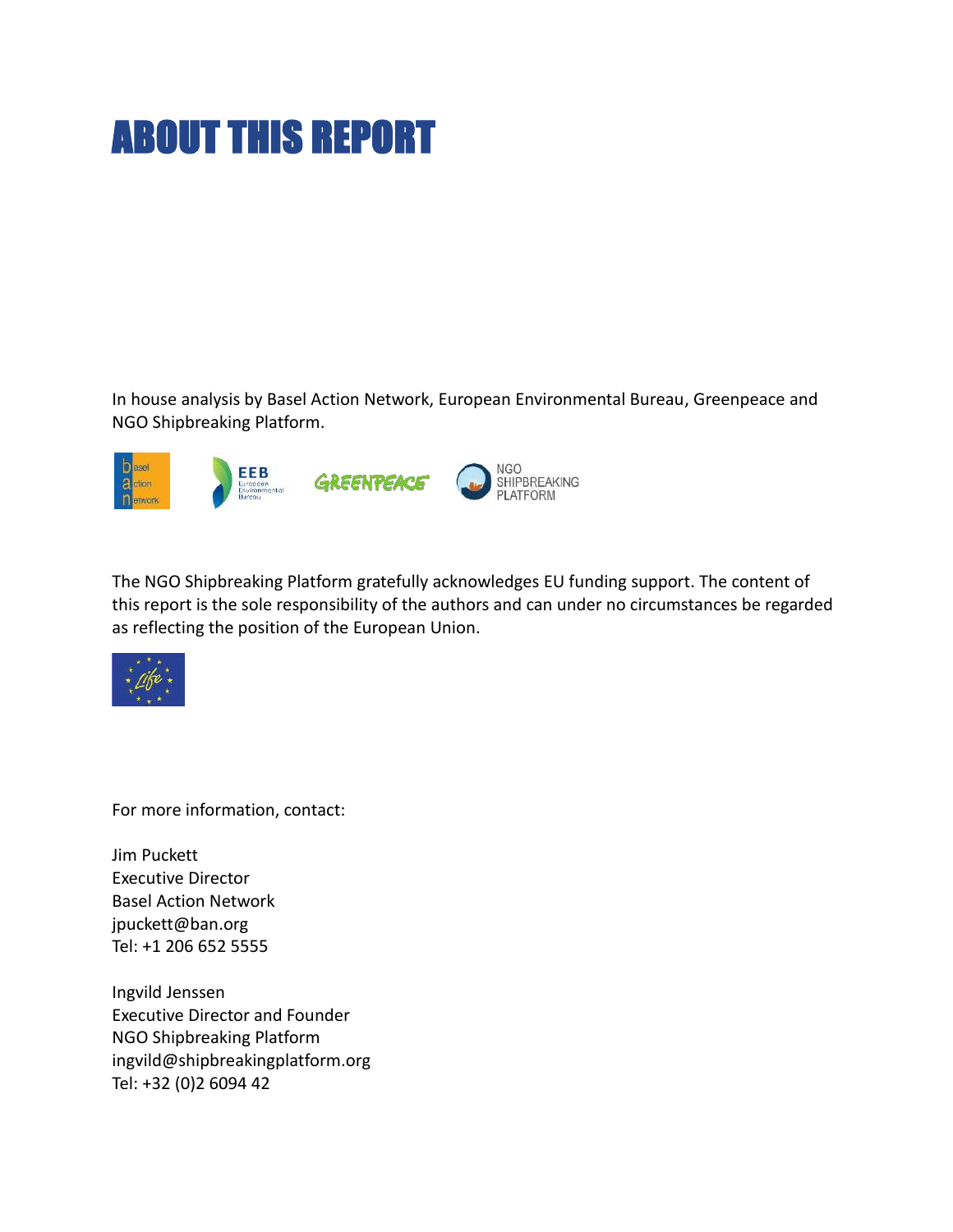# ABOUT THIS REPORT

In house analysis by Basel Action Network, European Environmental Bureau, Greenpeace and NGO Shipbreaking Platform.



The NGO Shipbreaking Platform gratefully acknowledges EU funding support. The content of this report is the sole responsibility of the authors and can under no circumstances be regarded as reflecting the position of the European Union.



For more information, contact:

Jim Puckett Executive Director Basel Action Network jpuckett@ban.org Tel: +1 206 652 5555

Ingvild Jenssen Executive Director and Founder NGO Shipbreaking Platform ingvild@shipbreakingplatform.org Tel: +32 (0)2 6094 42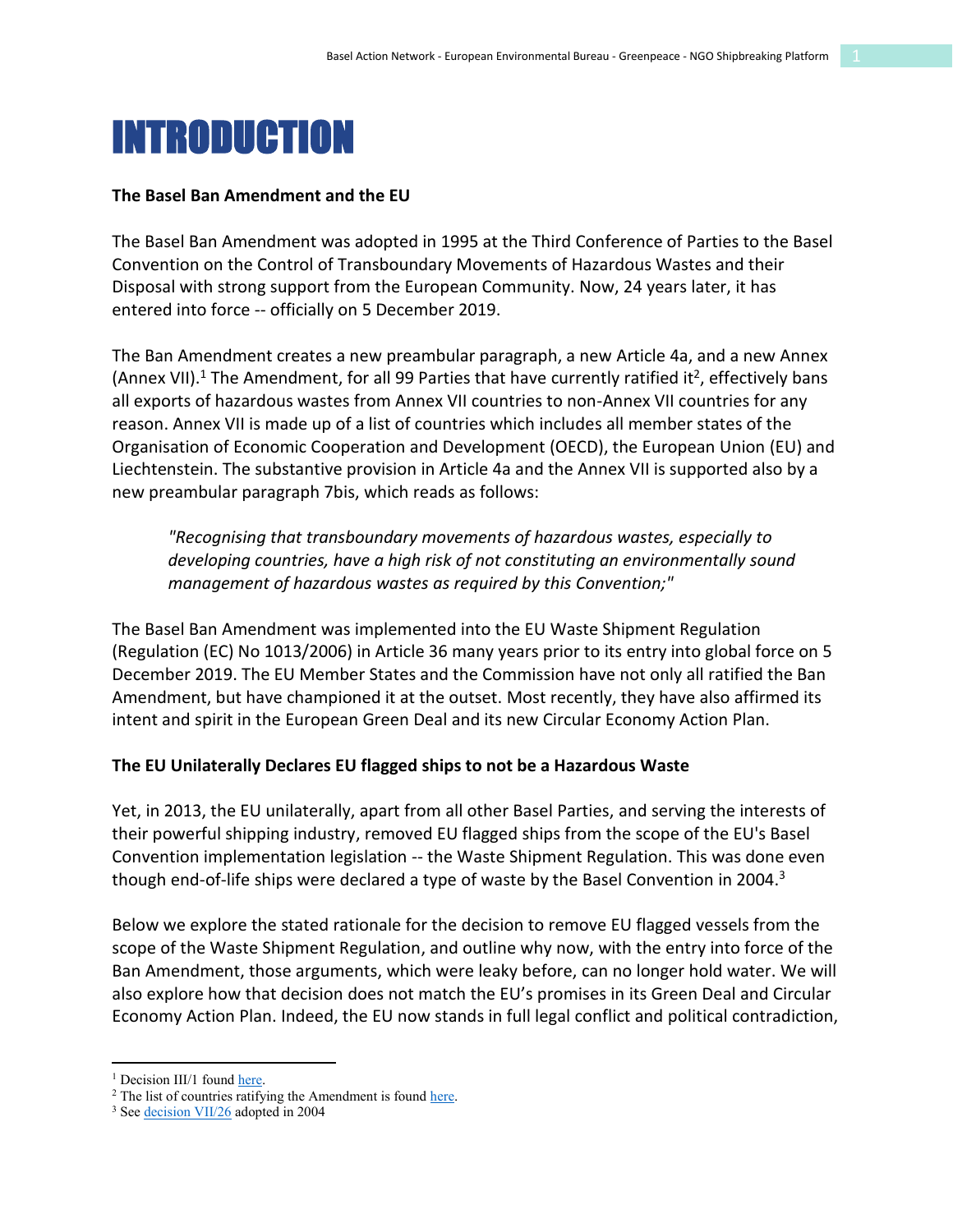

#### **The Basel Ban Amendment and the EU**

The Basel Ban Amendment was adopted in 1995 at the Third Conference of Parties to the Basel Convention on the Control of Transboundary Movements of Hazardous Wastes and their Disposal with strong support from the European Community. Now, 24 years later, it has entered into force -- officially on 5 December 2019.

The Ban Amendment creates a new preambular paragraph, a new Article 4a, and a new Annex (Annex VII).<sup>1</sup> The Amendment, for all 99 Parties that have currently ratified it<sup>2</sup>, effectively bans all exports of hazardous wastes from Annex VII countries to non-Annex VII countries for any reason. Annex VII is made up of a list of countries which includes all member states of the Organisation of Economic Cooperation and Development (OECD), the European Union (EU) and Liechtenstein. The substantive provision in Article 4a and the Annex VII is supported also by a new preambular paragraph 7bis, which reads as follows:

*"Recognising that transboundary movements of hazardous wastes, especially to developing countries, have a high risk of not constituting an environmentally sound management of hazardous wastes as required by this Convention;"*

The Basel Ban Amendment was implemented into the EU Waste Shipment Regulation (Regulation (EC) No 1013/2006) in Article 36 many years prior to its entry into global force on 5 December 2019. The EU Member States and the Commission have not only all ratified the Ban Amendment, but have championed it at the outset. Most recently, they have also affirmed its intent and spirit in the European Green Deal and its new Circular Economy Action Plan.

#### **The EU Unilaterally Declares EU flagged ships to not be a Hazardous Waste**

Yet, in 2013, the EU unilaterally, apart from all other Basel Parties, and serving the interests of their powerful shipping industry, removed EU flagged ships from the scope of the EU's Basel Convention implementation legislation -- the Waste Shipment Regulation. This was done even though end-of-life ships were declared a type of waste by the Basel Convention in 2004.<sup>3</sup>

Below we explore the stated rationale for the decision to remove EU flagged vessels from the scope of the Waste Shipment Regulation, and outline why now, with the entry into force of the Ban Amendment, those arguments, which were leaky before, can no longer hold water. We will also explore how that decision does not match the EU's promises in its Green Deal and Circular Economy Action Plan. Indeed, the EU now stands in full legal conflict and political contradiction,

<sup>&</sup>lt;sup>1</sup> Decision III/1 found [here.](http://www.basel.int/Portals/4/Download.aspx?d=UNEP-CHW-COP.3-BC-III-1.English.pdf)

<sup>&</sup>lt;sup>2</sup> The list of countries ratifying the Amendment is foun[d here.](https://treaties.un.org/Pages/ViewDetails.aspx?src=TREATY&mtdsg_no=XXVII-3-a&chapter=27&clang=_en)<sup>3</sup> Se[e decision VII/26](http://www.basel.int/Portals/4/Basel%20Convention/docs/meetings/cop/cop7/docs/33eRep.pdf#page=63) adopted in 2004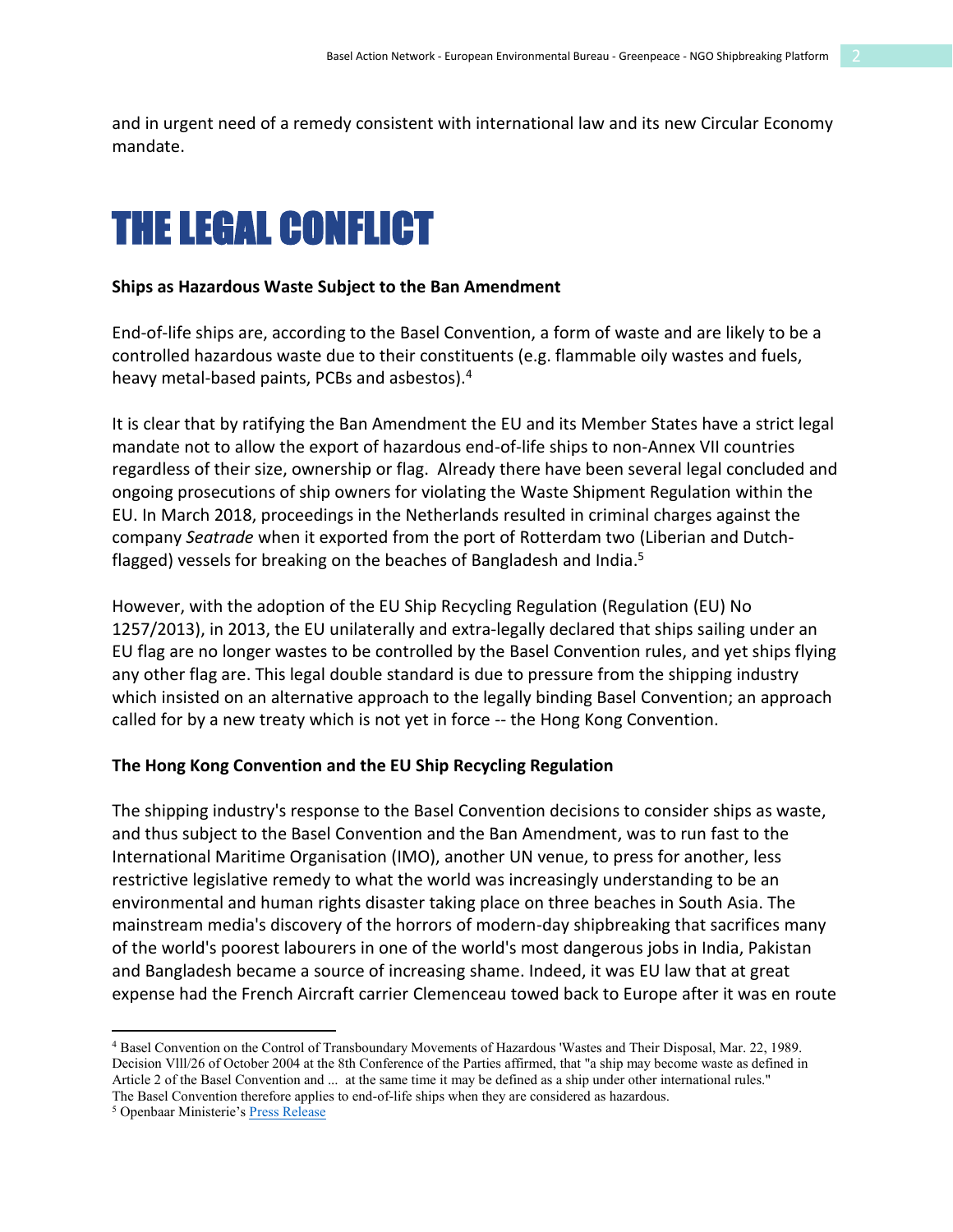and in urgent need of a remedy consistent with international law and its new Circular Economy mandate.

## THE LEGAL CONFLICT

#### **Ships as Hazardous Waste Subject to the Ban Amendment**

End-of-life ships are, according to the Basel Convention, a form of waste and are likely to be a controlled hazardous waste due to their constituents (e.g. flammable oily wastes and fuels, heavy metal-based paints, PCBs and asbestos).4

It is clear that by ratifying the Ban Amendment the EU and its Member States have a strict legal mandate not to allow the export of hazardous end-of-life ships to non-Annex VII countries regardless of their size, ownership or flag. Already there have been several legal concluded and ongoing prosecutions of ship owners for violating the Waste Shipment Regulation within the EU. In March 2018, proceedings in the Netherlands resulted in criminal charges against the company *Seatrade* when it exported from the port of Rotterdam two (Liberian and Dutchflagged) vessels for breaking on the beaches of Bangladesh and India.<sup>5</sup>

However, with the adoption of the EU Ship Recycling Regulation (Regulation (EU) No 1257/2013), in 2013, the EU unilaterally and extra-legally declared that ships sailing under an EU flag are no longer wastes to be controlled by the Basel Convention rules, and yet ships flying any other flag are. This legal double standard is due to pressure from the shipping industry which insisted on an alternative approach to the legally binding Basel Convention; an approach called for by a new treaty which is not yet in force -- the Hong Kong Convention.

#### **The Hong Kong Convention and the EU Ship Recycling Regulation**

The shipping industry's response to the Basel Convention decisions to consider ships as waste, and thus subject to the Basel Convention and the Ban Amendment, was to run fast to the International Maritime Organisation (IMO), another UN venue, to press for another, less restrictive legislative remedy to what the world was increasingly understanding to be an environmental and human rights disaster taking place on three beaches in South Asia. The mainstream media's discovery of the horrors of modern-day shipbreaking that sacrifices many of the world's poorest labourers in one of the world's most dangerous jobs in India, Pakistan and Bangladesh became a source of increasing shame. Indeed, it was EU law that at great expense had the French Aircraft carrier Clemenceau towed back to Europe after it was en route

<sup>4</sup> Basel Convention on the Control of Transboundary Movements of Hazardous 'Wastes and Their Disposal, Mar. 22, 1989. Decision Vlll/26 of October 2004 at the 8th Conference of the Parties affirmed, that "a ship may become waste as defined in Article 2 of the Basel Convention and ... at the same time it may be defined as a ship under other international rules." The Basel Convention therefore applies to end-of-life ships when they are considered as hazardous. 5 Openbaar Ministerie's Press Release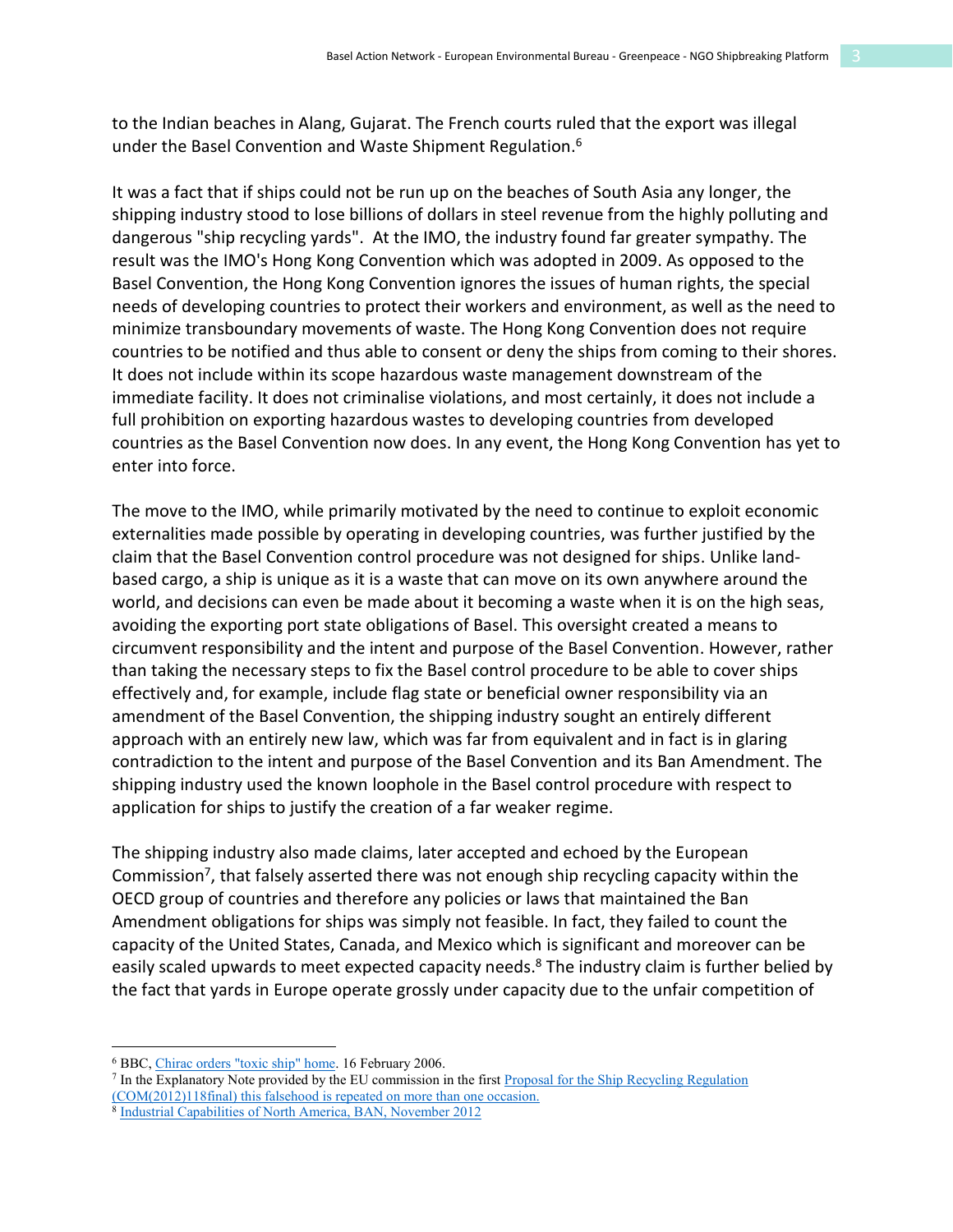to the Indian beaches in Alang, Gujarat. The French courts ruled that the export was illegal under the Basel Convention and Waste Shipment Regulation. 6

It was a fact that if ships could not be run up on the beaches of South Asia any longer, the shipping industry stood to lose billions of dollars in steel revenue from the highly polluting and dangerous "ship recycling yards". At the IMO, the industry found far greater sympathy. The result was the IMO's Hong Kong Convention which was adopted in 2009. As opposed to the Basel Convention, the Hong Kong Convention ignores the issues of human rights, the special needs of developing countries to protect their workers and environment, as well as the need to minimize transboundary movements of waste. The Hong Kong Convention does not require countries to be notified and thus able to consent or deny the ships from coming to their shores. It does not include within its scope hazardous waste management downstream of the immediate facility. It does not criminalise violations, and most certainly, it does not include a full prohibition on exporting hazardous wastes to developing countries from developed countries as the Basel Convention now does. In any event, the Hong Kong Convention has yet to enter into force.

The move to the IMO, while primarily motivated by the need to continue to exploit economic externalities made possible by operating in developing countries, was further justified by the claim that the Basel Convention control procedure was not designed for ships. Unlike landbased cargo, a ship is unique as it is a waste that can move on its own anywhere around the world, and decisions can even be made about it becoming a waste when it is on the high seas, avoiding the exporting port state obligations of Basel. This oversight created a means to circumvent responsibility and the intent and purpose of the Basel Convention. However, rather than taking the necessary steps to fix the Basel control procedure to be able to cover ships effectively and, for example, include flag state or beneficial owner responsibility via an amendment of the Basel Convention, the shipping industry sought an entirely different approach with an entirely new law, which was far from equivalent and in fact is in glaring contradiction to the intent and purpose of the Basel Convention and its Ban Amendment. The shipping industry used the known loophole in the Basel control procedure with respect to application for ships to justify the creation of a far weaker regime.

The shipping industry also made claims, later accepted and echoed by the European Commission7, that falsely asserted there was not enough ship recycling capacity within the OECD group of countries and therefore any policies or laws that maintained the Ban Amendment obligations for ships was simply not feasible. In fact, they failed to count the capacity of the United States, Canada, and Mexico which is significant and moreover can be easily scaled upwards to meet expected capacity needs.<sup>8</sup> The industry claim is further belied by the fact that yards in Europe operate grossly under capacity due to the unfair competition of

<sup>6</sup> BBC, [Chirac orders "toxic ship" home.](http://news.bbc.co.uk/2/hi/europe/4716472.stm) 16 February 2006.

<sup>&</sup>lt;sup>7</sup> In the Explanatory Note provided by the EU commission in the first Proposal for the Ship Recycling Regulation

<sup>(</sup>COM(2012)118final) [t](https://ec.europa.eu/environment/waste/ships/pdf/Ship_Recycling_reg_en.pdf)his falsehood is repeated on more than one occasion. 8 [Industrial Capabilities of North America, BAN, November 2012](https://www.shipbreakingplatform.org/wp-content/uploads/2018/08/North-American-Capacity_BAN_Final.pdf)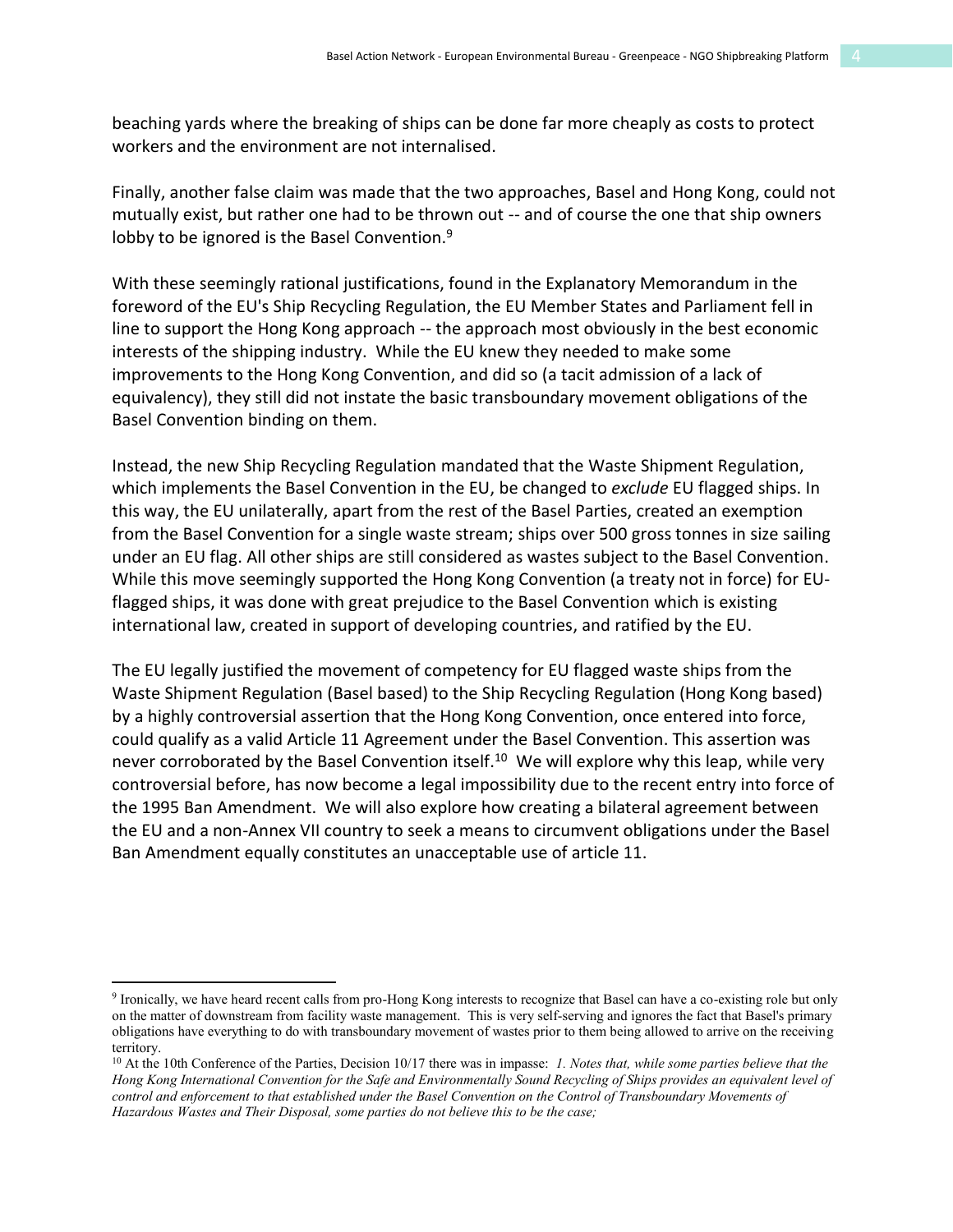beaching yards where the breaking of ships can be done far more cheaply as costs to protect workers and the environment are not internalised.

Finally, another false claim was made that the two approaches, Basel and Hong Kong, could not mutually exist, but rather one had to be thrown out -- and of course the one that ship owners lobby to be ignored is the Basel Convention.<sup>9</sup>

With these seemingly rational justifications, found in the Explanatory Memorandum in the foreword of the EU's Ship Recycling Regulation, the EU Member States and Parliament fell in line to support the Hong Kong approach -- the approach most obviously in the best economic interests of the shipping industry. While the EU knew they needed to make some improvements to the Hong Kong Convention, and did so (a tacit admission of a lack of equivalency), they still did not instate the basic transboundary movement obligations of the Basel Convention binding on them.

Instead, the new Ship Recycling Regulation mandated that the Waste Shipment Regulation, which implements the Basel Convention in the EU, be changed to *exclude* EU flagged ships. In this way, the EU unilaterally, apart from the rest of the Basel Parties, created an exemption from the Basel Convention for a single waste stream; ships over 500 gross tonnes in size sailing under an EU flag. All other ships are still considered as wastes subject to the Basel Convention. While this move seemingly supported the Hong Kong Convention (a treaty not in force) for EUflagged ships, it was done with great prejudice to the Basel Convention which is existing international law, created in support of developing countries, and ratified by the EU.

The EU legally justified the movement of competency for EU flagged waste ships from the Waste Shipment Regulation (Basel based) to the Ship Recycling Regulation (Hong Kong based) by a highly controversial assertion that the Hong Kong Convention, once entered into force, could qualify as a valid Article 11 Agreement under the Basel Convention. This assertion was never corroborated by the Basel Convention itself.<sup>10</sup> We will explore why this leap, while very controversial before, has now become a legal impossibility due to the recent entry into force of the 1995 Ban Amendment. We will also explore how creating a bilateral agreement between the EU and a non-Annex VII country to seek a means to circumvent obligations under the Basel Ban Amendment equally constitutes an unacceptable use of article 11.

<sup>9</sup> Ironically, we have heard recent calls from pro-Hong Kong interests to recognize that Basel can have a co-existing role but only on the matter of downstream from facility waste management. This is very self-serving and ignores the fact that Basel's primary obligations have everything to do with transboundary movement of wastes prior to them being allowed to arrive on the receiving territory.

<sup>10</sup> At the 10th Conference of the Parties, Decision 10/17 there was in impasse: *1. Notes that, while some parties believe that the Hong Kong International Convention for the Safe and Environmentally Sound Recycling of Ships provides an equivalent level of*  control and enforcement to that established under the Basel Convention on the Control of Transboundary Movements of *Hazardous Wastes and Their Disposal, some parties do not believe this to be the case;*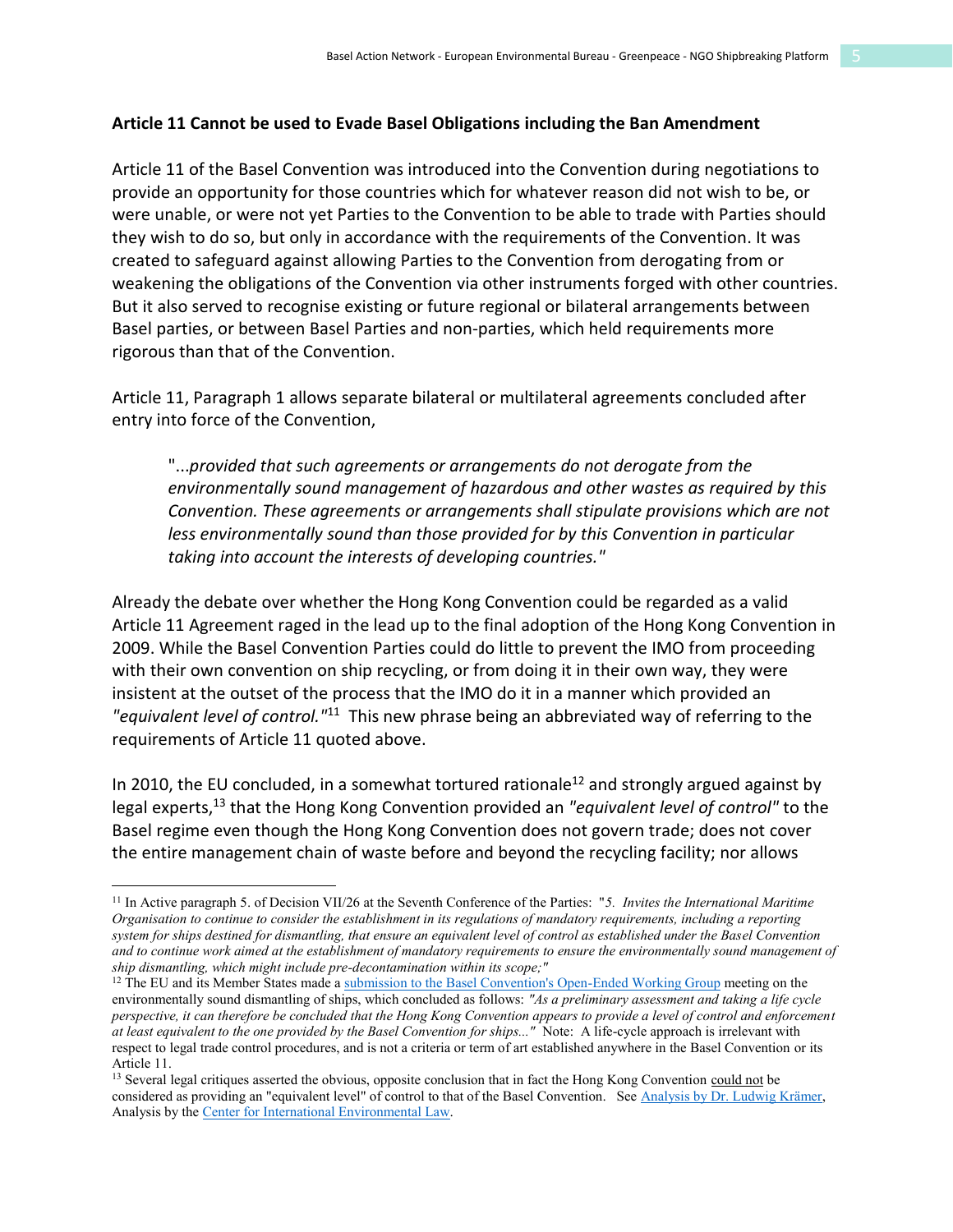#### **Article 11 Cannot be used to Evade Basel Obligations including the Ban Amendment**

Article 11 of the Basel Convention was introduced into the Convention during negotiations to provide an opportunity for those countries which for whatever reason did not wish to be, or were unable, or were not yet Parties to the Convention to be able to trade with Parties should they wish to do so, but only in accordance with the requirements of the Convention. It was created to safeguard against allowing Parties to the Convention from derogating from or weakening the obligations of the Convention via other instruments forged with other countries. But it also served to recognise existing or future regional or bilateral arrangements between Basel parties, or between Basel Parties and non-parties, which held requirements more rigorous than that of the Convention.

Article 11, Paragraph 1 allows separate bilateral or multilateral agreements concluded after entry into force of the Convention,

"...*provided that such agreements or arrangements do not derogate from the environmentally sound management of hazardous and other wastes as required by this Convention. These agreements or arrangements shall stipulate provisions which are not less environmentally sound than those provided for by this Convention in particular taking into account the interests of developing countries."*

Already the debate over whether the Hong Kong Convention could be regarded as a valid Article 11 Agreement raged in the lead up to the final adoption of the Hong Kong Convention in 2009. While the Basel Convention Parties could do little to prevent the IMO from proceeding with their own convention on ship recycling, or from doing it in their own way, they were insistent at the outset of the process that the IMO do it in a manner which provided an *"equivalent level of control."*11 This new phrase being an abbreviated way of referring to the requirements of Article 11 quoted above.

In 2010, the EU concluded, in a somewhat tortured rationale<sup>12</sup> and strongly argued against by legal experts, <sup>13</sup> that the Hong Kong Convention provided an *"equivalent level of control"* to the Basel regime even though the Hong Kong Convention does not govern trade; does not cover the entire management chain of waste before and beyond the recycling facility; nor allows

<sup>11</sup> In Active paragraph 5. of Decision VII/26 at the Seventh Conference of the Parties: "*5. Invites the International Maritime Organisation to continue to consider the establishment in its regulations of mandatory requirements, including a reporting system for ships destined for dismantling, that ensure an equivalent level of control as established under the Basel Convention and to continue work aimed at the establishment of mandatory requirements to ensure the environmentally sound management of ship dismantling, which might include pre-decontamination within its scope;"*

<sup>&</sup>lt;sup>12</sup> The EU and its Member States made a [submission to the Basel Convention's Open-Ended Working Group](http://archive.basel.int/ships/oewg-vii12-comments/comments/eu.doc) meeting on the environmentally sound dismantling of ships, which concluded as follows: *"As a preliminary assessment and taking a life cycle perspective, it can therefore be concluded that the Hong Kong Convention appears to provide a level of control and enforcement at least equivalent to the one provided by the Basel Convention for ships..."* Note: A life-cycle approach is irrelevant with respect to legal trade control procedures, and is not a criteria or term of art established anywhere in the Basel Convention or its Article 11.

<sup>&</sup>lt;sup>13</sup> Several legal critiques asserted the obvious, opposite conclusion that in fact the Hong Kong Convention could not be considered as providing an "equivalent level" of control to that of the Basel Convention. See Analysis by Dr. Ludwig Krämer, Analysis by the [Center for International Environmental Law.](https://www.shipbreakingplatform.org/wp-content/uploads/2018/11/CIEL-legal-opinion-on-EU-Ships-Proposed-Regulation-12-Dec-2012.pdf)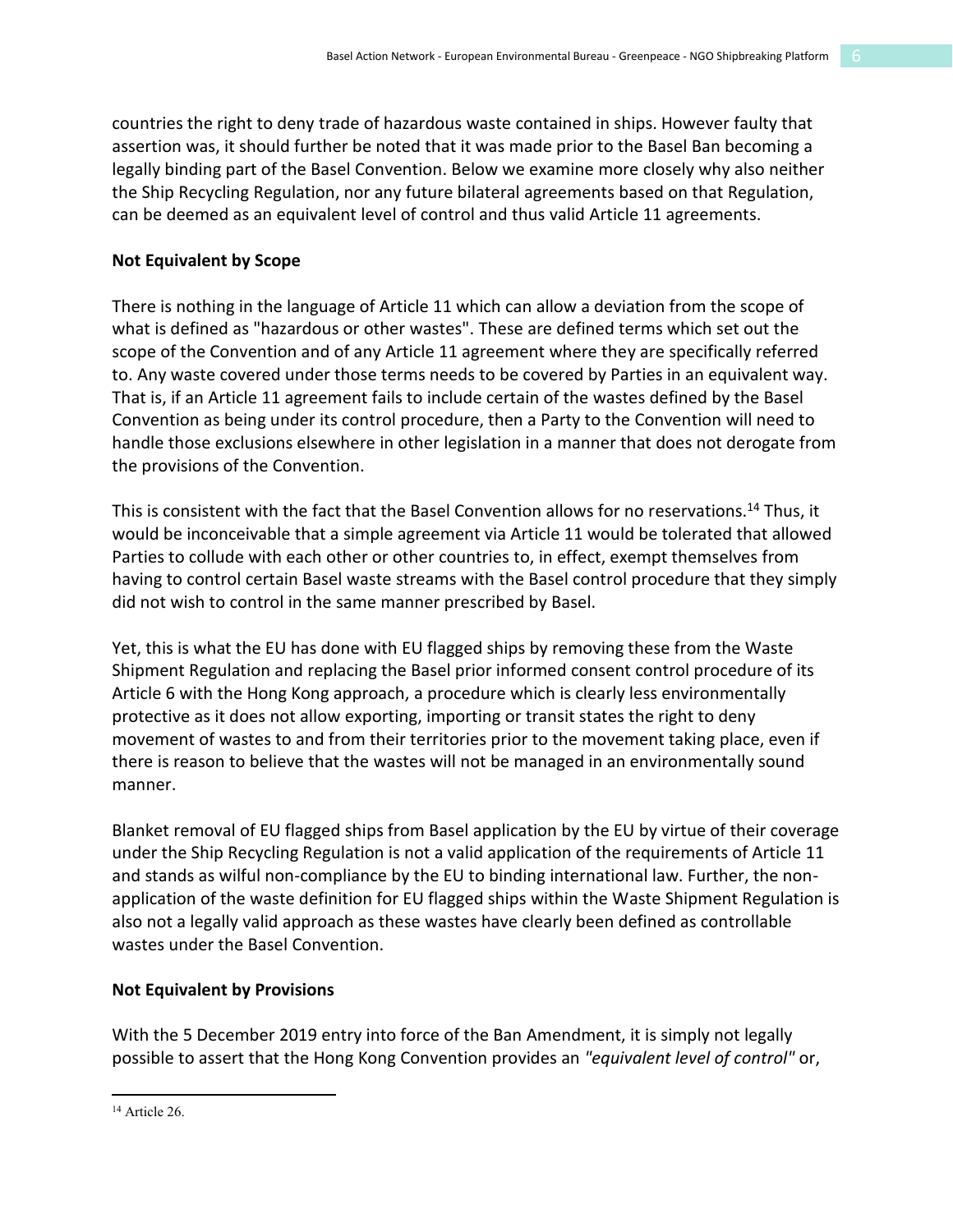countries the right to deny trade of hazardous waste contained in ships. However faulty that assertion was, it should further be noted that it was made prior to the Basel Ban becoming a legally binding part of the Basel Convention. Below we examine more closely why also neither the Ship Recycling Regulation, nor any future bilateral agreements based on that Regulation, can be deemed as an equivalent level of control and thus valid Article 11 agreements.

#### **Not Equivalent by Scope**

There is nothing in the language of Article 11 which can allow a deviation from the scope of what is defined as "hazardous or other wastes". These are defined terms which set out the scope of the Convention and of any Article 11 agreement where they are specifically referred to. Any waste covered under those terms needs to be covered by Parties in an equivalent way. That is, if an Article 11 agreement fails to include certain of the wastes defined by the Basel Convention as being under its control procedure, then a Party to the Convention will need to handle those exclusions elsewhere in other legislation in a manner that does not derogate from the provisions of the Convention.

This is consistent with the fact that the Basel Convention allows for no reservations.14 Thus, it would be inconceivable that a simple agreement via Article 11 would be tolerated that allowed Parties to collude with each other or other countries to, in effect, exempt themselves from having to control certain Basel waste streams with the Basel control procedure that they simply did not wish to control in the same manner prescribed by Basel.

Yet, this is what the EU has done with EU flagged ships by removing these from the Waste Shipment Regulation and replacing the Basel prior informed consent control procedure of its Article 6 with the Hong Kong approach, a procedure which is clearly less environmentally protective as it does not allow exporting, importing or transit states the right to deny movement of wastes to and from their territories prior to the movement taking place, even if there is reason to believe that the wastes will not be managed in an environmentally sound manner.

Blanket removal of EU flagged ships from Basel application by the EU by virtue of their coverage under the Ship Recycling Regulation is not a valid application of the requirements of Article 11 and stands as wilful non-compliance by the EU to binding international law. Further, the nonapplication of the waste definition for EU flagged ships within the Waste Shipment Regulation is also not a legally valid approach as these wastes have clearly been defined as controllable wastes under the Basel Convention.

#### **Not Equivalent by Provisions**

With the 5 December 2019 entry into force of the Ban Amendment, it is simply not legally possible to assert that the Hong Kong Convention provides an *"equivalent level of control"* or,

 $\overline{a}$ <sup>14</sup> Article 26.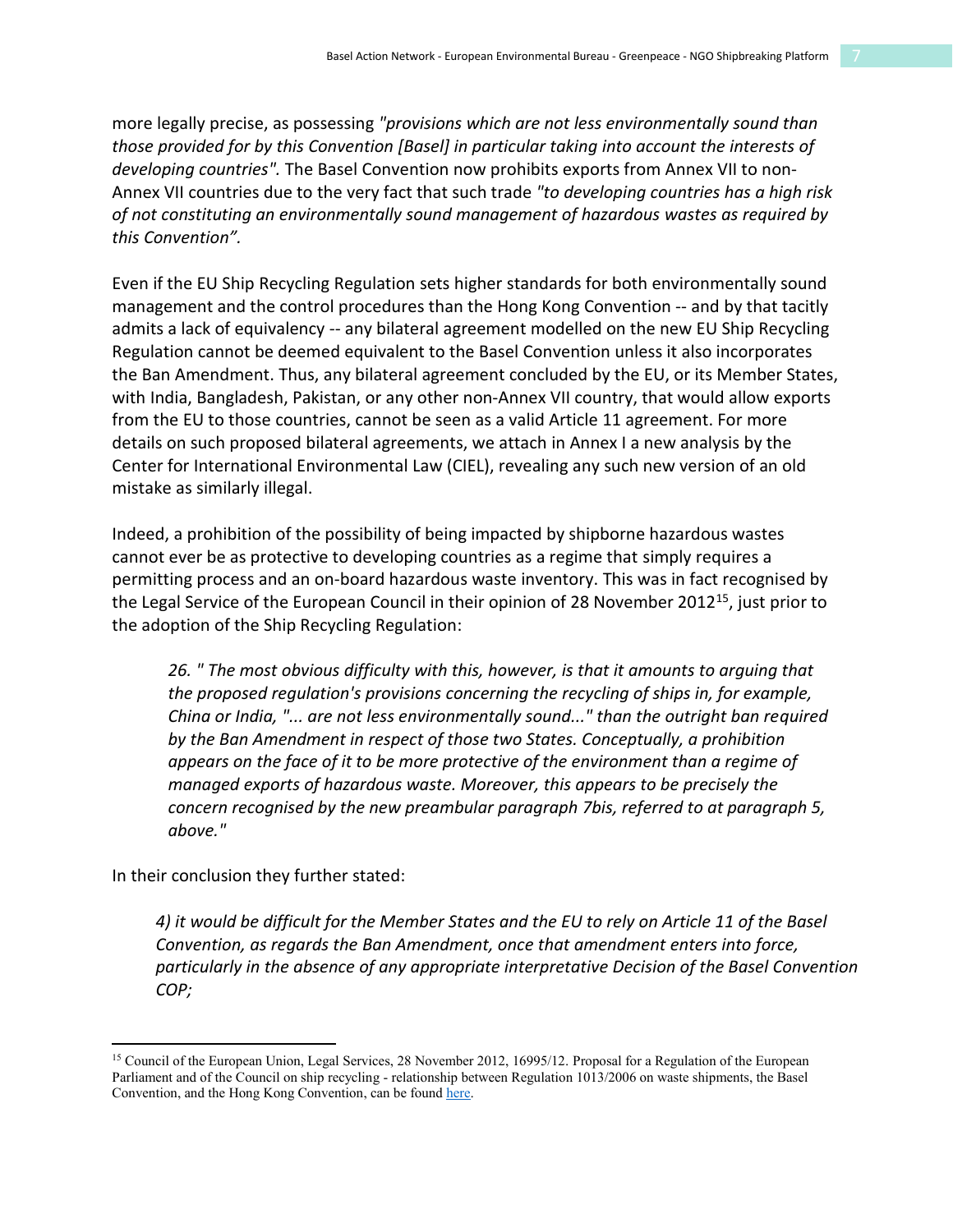more legally precise, as possessing *"provisions which are not less environmentally sound than those provided for by this Convention [Basel] in particular taking into account the interests of developing countries".* The Basel Convention now prohibits exports from Annex VII to non-Annex VII countries due to the very fact that such trade *"to developing countries has a high risk of not constituting an environmentally sound management of hazardous wastes as required by this Convention".*

Even if the EU Ship Recycling Regulation sets higher standards for both environmentally sound management and the control procedures than the Hong Kong Convention -- and by that tacitly admits a lack of equivalency -- any bilateral agreement modelled on the new EU Ship Recycling Regulation cannot be deemed equivalent to the Basel Convention unless it also incorporates the Ban Amendment. Thus, any bilateral agreement concluded by the EU, or its Member States, with India, Bangladesh, Pakistan, or any other non-Annex VII country, that would allow exports from the EU to those countries, cannot be seen as a valid Article 11 agreement. For more details on such proposed bilateral agreements, we attach in Annex I a new analysis by the Center for International Environmental Law (CIEL), revealing any such new version of an old mistake as similarly illegal.

Indeed, a prohibition of the possibility of being impacted by shipborne hazardous wastes cannot ever be as protective to developing countries as a regime that simply requires a permitting process and an on-board hazardous waste inventory. This was in fact recognised by the Legal Service of the European Council in their opinion of 28 November 2012<sup>15</sup>, just prior to the adoption of the Ship Recycling Regulation:

*26. " The most obvious difficulty with this, however, is that it amounts to arguing that the proposed regulation's provisions concerning the recycling of ships in, for example, China or India, "... are not less environmentally sound..." than the outright ban required by the Ban Amendment in respect of those two States. Conceptually, a prohibition appears on the face of it to be more protective of the environment than a regime of managed exports of hazardous waste. Moreover, this appears to be precisely the concern recognised by the new preambular paragraph 7bis, referred to at paragraph 5, above."*

In their conclusion they further stated:

 $\overline{a}$ 

*4) it would be difficult for the Member States and the EU to rely on Article 11 of the Basel Convention, as regards the Ban Amendment, once that amendment enters into force, particularly in the absence of any appropriate interpretative Decision of the Basel Convention COP;*

<sup>&</sup>lt;sup>15</sup> Council of the European Union, Legal Services, 28 November 2012, 16995/12. Proposal for a Regulation of the European Parliament and of the Council on ship recycling - relationship between Regulation 1013/2006 on waste shipments, the Basel Convention, and the Hong Kong Convention, can be foun[d here.](http://wiki.ban.org/images/a/a8/Council_Legal_Services_Opinion.pdf)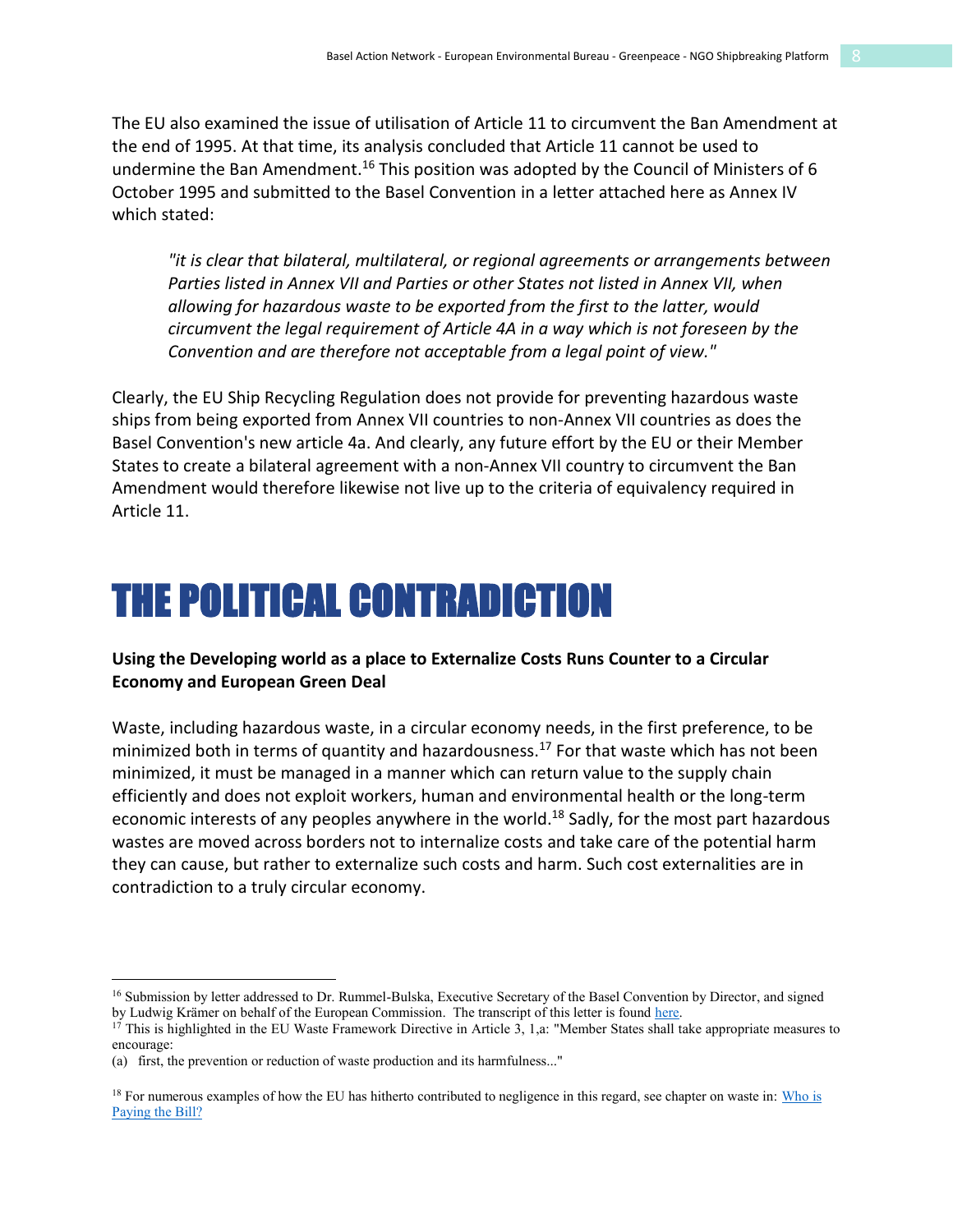The EU also examined the issue of utilisation of Article 11 to circumvent the Ban Amendment at the end of 1995. At that time, its analysis concluded that Article 11 cannot be used to undermine the Ban Amendment.<sup>16</sup> This position was adopted by the Council of Ministers of 6 October 1995 and submitted to the Basel Convention in a letter attached here as Annex IV which stated:

*"it is clear that bilateral, multilateral, or regional agreements or arrangements between Parties listed in Annex VII and Parties or other States not listed in Annex VII, when allowing for hazardous waste to be exported from the first to the latter, would circumvent the legal requirement of Article 4A in a way which is not foreseen by the Convention and are therefore not acceptable from a legal point of view."*

Clearly, the EU Ship Recycling Regulation does not provide for preventing hazardous waste ships from being exported from Annex VII countries to non-Annex VII countries as does the Basel Convention's new article 4a. And clearly, any future effort by the EU or their Member States to create a bilateral agreement with a non-Annex VII country to circumvent the Ban Amendment would therefore likewise not live up to the criteria of equivalency required in Article 11.

### THE POLITICAL CONTRADICTION

#### **Using the Developing world as a place to Externalize Costs Runs Counter to a Circular Economy and European Green Deal**

Waste, including hazardous waste, in a circular economy needs, in the first preference, to be minimized both in terms of quantity and hazardousness.<sup>17</sup> For that waste which has not been minimized, it must be managed in a manner which can return value to the supply chain efficiently and does not exploit workers, human and environmental health or the long-term economic interests of any peoples anywhere in the world.<sup>18</sup> Sadly, for the most part hazardous wastes are moved across borders not to internalize costs and take care of the potential harm they can cause, but rather to externalize such costs and harm. Such cost externalities are in contradiction to a truly circular economy.

<sup>&</sup>lt;sup>16</sup> Submission by letter addressed to Dr. Rummel-Bulska, Executive Secretary of the Basel Convention by Director, and signed by Ludwig Krämer on behalf of the European Commission. The transcript of this letter is found here.<br><sup>17</sup> This is highlighted in the EU Waste Framework Directive in Article 3, 1,a: "Member States shall take appropriate meas

encourage:

<sup>(</sup>a) first, the prevention or reduction of waste production and its harmfulness..."

 $18$  For numerous examples of how the EU has hitherto contributed to negligence in this regard, see chapter on waste in: Who is [Paying the Bill?](https://eeb.org/library/who-is-paying-the-bill-negative-impacts-of-eu-policies-and-practices-in-the-world/)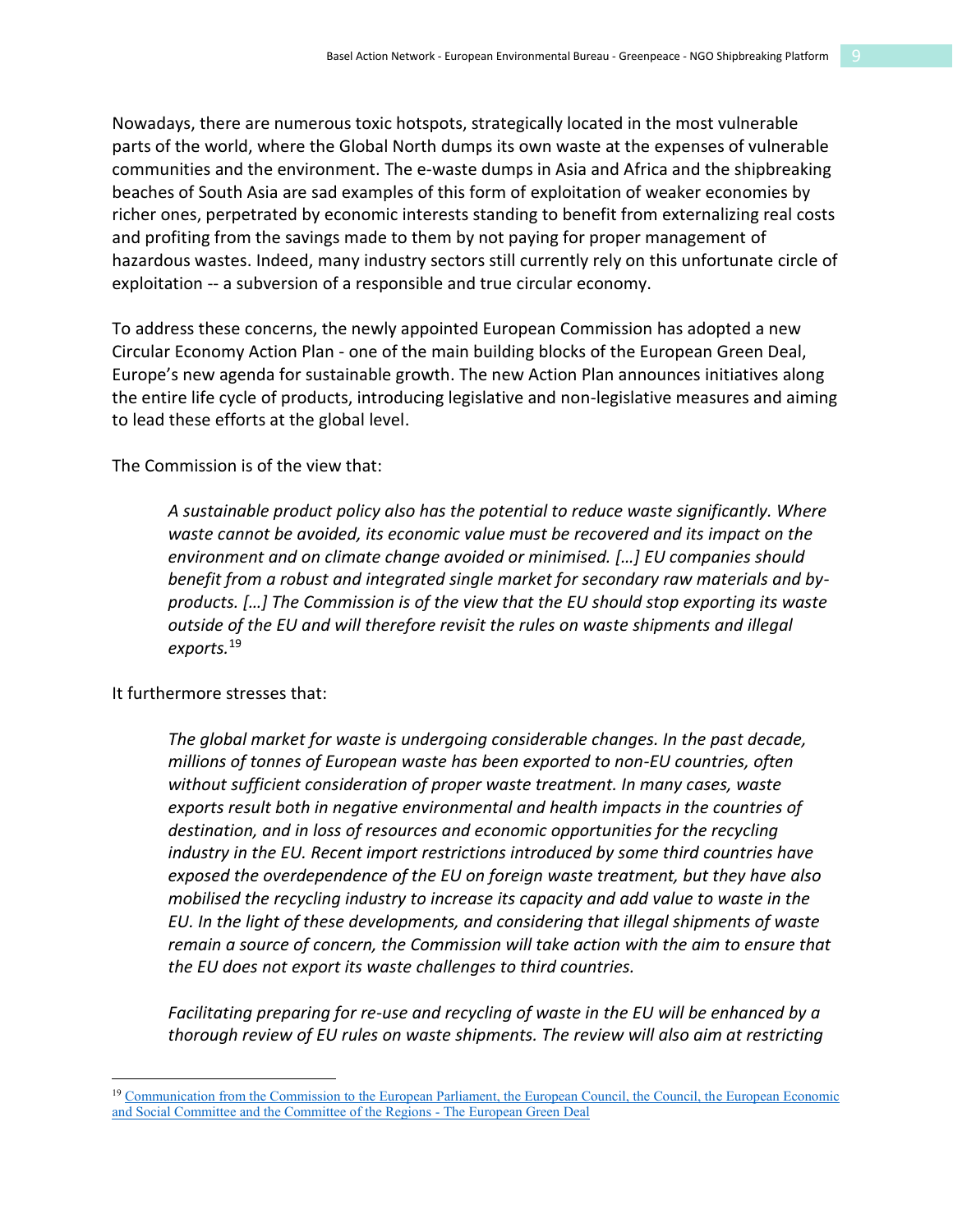Nowadays, there are numerous toxic hotspots, strategically located in the most vulnerable parts of the world, where the Global North dumps its own waste at the expenses of vulnerable communities and the environment. The e-waste dumps in Asia and Africa and the shipbreaking beaches of South Asia are sad examples of this form of exploitation of weaker economies by richer ones, perpetrated by economic interests standing to benefit from externalizing real costs and profiting from the savings made to them by not paying for proper management of hazardous wastes. Indeed, many industry sectors still currently rely on this unfortunate circle of exploitation -- a subversion of a responsible and true circular economy.

To address these concerns, the newly appointed European Commission has adopted a new Circular Economy Action Plan - one of the main building blocks of the European Green Deal, Europe's new agenda for sustainable growth. The new Action Plan announces initiatives along the entire life cycle of products, introducing legislative and non-legislative measures and aiming to lead these efforts at the global level.

The Commission is of the view that:

*A sustainable product policy also has the potential to reduce waste significantly. Where waste cannot be avoided, its economic value must be recovered and its impact on the environment and on climate change avoided or minimised. […] EU companies should benefit from a robust and integrated single market for secondary raw materials and byproducts. […] The Commission is of the view that the EU should stop exporting its waste outside of the EU and will therefore revisit the rules on waste shipments and illegal exports.*<sup>19</sup>

It furthermore stresses that:

 $\overline{a}$ 

*The global market for waste is undergoing considerable changes. In the past decade, millions of tonnes of European waste has been exported to non-EU countries, often without sufficient consideration of proper waste treatment. In many cases, waste exports result both in negative environmental and health impacts in the countries of destination, and in loss of resources and economic opportunities for the recycling industry in the EU. Recent import restrictions introduced by some third countries have exposed the overdependence of the EU on foreign waste treatment, but they have also mobilised the recycling industry to increase its capacity and add value to waste in the EU. In the light of these developments, and considering that illegal shipments of waste remain a source of concern, the Commission will take action with the aim to ensure that the EU does not export its waste challenges to third countries.*

*Facilitating preparing for re-use and recycling of waste in the EU will be enhanced by a thorough review of EU rules on waste shipments. The review will also aim at restricting* 

<sup>&</sup>lt;sup>19</sup> Communication from the Commission to the European Parliament, the European Council, the Council, the European Economic [and Social Committee and the Committee of the Regions -](https://eur-lex.europa.eu/resource.html?uri=cellar:b828d165-1c22-11ea-8c1f-01aa75ed71a1.0002.02/DOC_1&format=PDF) The European Green Deal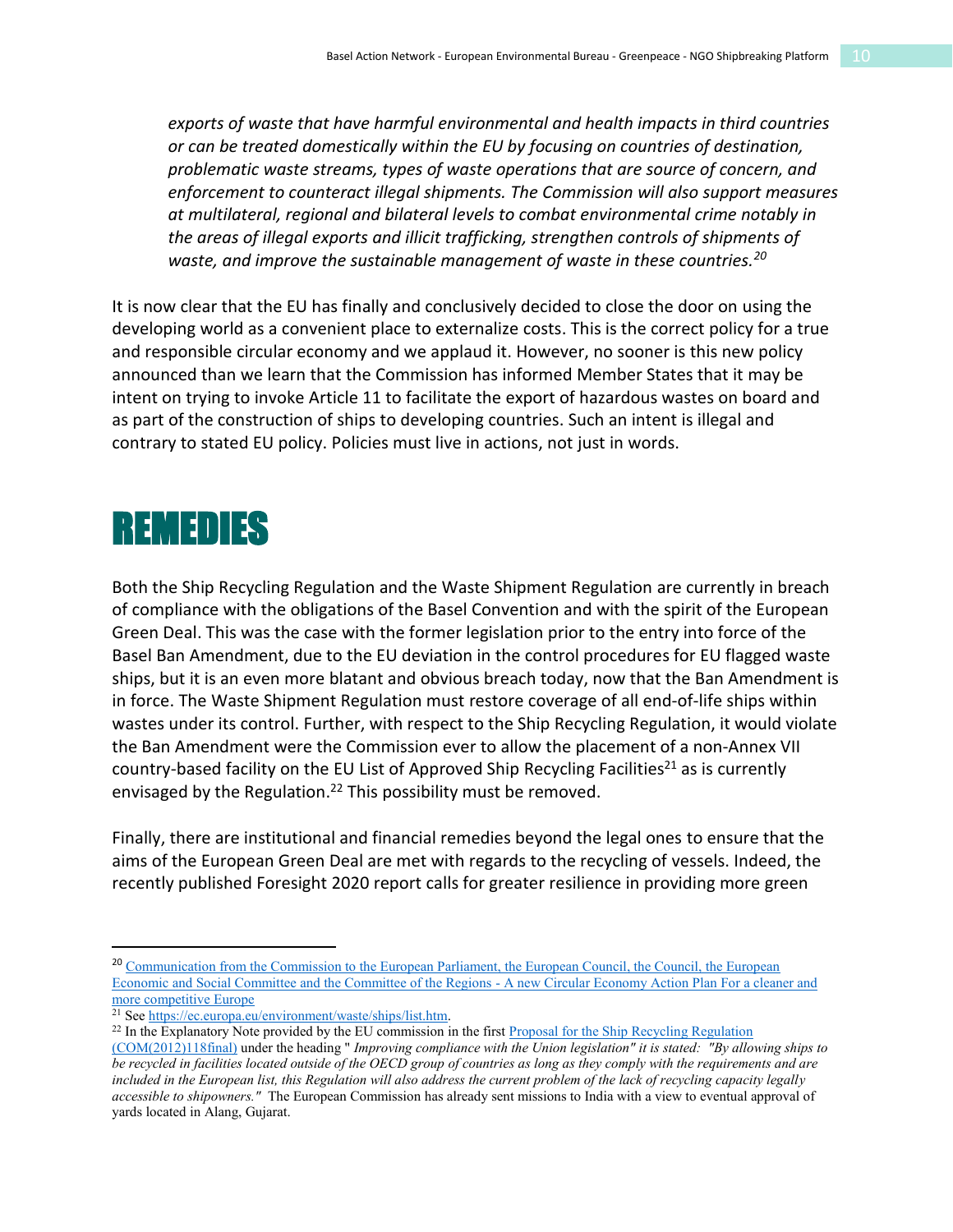*exports of waste that have harmful environmental and health impacts in third countries or can be treated domestically within the EU by focusing on countries of destination, problematic waste streams, types of waste operations that are source of concern, and enforcement to counteract illegal shipments. The Commission will also support measures at multilateral, regional and bilateral levels to combat environmental crime notably in the areas of illegal exports and illicit trafficking, strengthen controls of shipments of waste, and improve the sustainable management of waste in these countries.20*

It is now clear that the EU has finally and conclusively decided to close the door on using the developing world as a convenient place to externalize costs. This is the correct policy for a true and responsible circular economy and we applaud it. However, no sooner is this new policy announced than we learn that the Commission has informed Member States that it may be intent on trying to invoke Article 11 to facilitate the export of hazardous wastes on board and as part of the construction of ships to developing countries. Such an intent is illegal and contrary to stated EU policy. Policies must live in actions, not just in words.

### REMEDIES

Both the Ship Recycling Regulation and the Waste Shipment Regulation are currently in breach of compliance with the obligations of the Basel Convention and with the spirit of the European Green Deal. This was the case with the former legislation prior to the entry into force of the Basel Ban Amendment, due to the EU deviation in the control procedures for EU flagged waste ships, but it is an even more blatant and obvious breach today, now that the Ban Amendment is in force. The Waste Shipment Regulation must restore coverage of all end-of-life ships within wastes under its control. Further, with respect to the Ship Recycling Regulation, it would violate the Ban Amendment were the Commission ever to allow the placement of a non-Annex VII country-based facility on the EU List of Approved Ship Recycling Facilities<sup>21</sup> as is currently envisaged by the Regulation.<sup>22</sup> This possibility must be removed.

Finally, there are institutional and financial remedies beyond the legal ones to ensure that the aims of the European Green Deal are met with regards to the recycling of vessels. Indeed, the recently published Foresight 2020 report calls for greater resilience in providing more green

<sup>&</sup>lt;sup>20</sup> Communication from the Commission to the European Parliament, the European Council, the Council, the European [Economic and Social Committee and the Committee of the Regions -](https://eur-lex.europa.eu/resource.html?uri=cellar:9903b325-6388-11ea-b735-01aa75ed71a1.0017.02/DOC_1&format=PDF) A new Circular Economy Action Plan For a cleaner and [more competitive Europe](https://eur-lex.europa.eu/resource.html?uri=cellar:9903b325-6388-11ea-b735-01aa75ed71a1.0017.02/DOC_1&format=PDF)<br>
<sup>21</sup> See https://ec.europa.eu/environment/waste/ships/list.htm.

<sup>&</sup>lt;sup>22</sup> In the Explanatory Note provided by the EU commission in the first Proposal for the Ship Recycling Regulation

[<sup>\(</sup>COM\(2012\)118final\)](https://ec.europa.eu/environment/waste/ships/pdf/Ship_Recycling_reg_en.pdf) under the heading " *Improving compliance with the Union legislation" it is stated: "By allowing ships to be recycled in facilities located outside of the OECD group of countries as long as they comply with the requirements and are included in the European list, this Regulation will also address the current problem of the lack of recycling capacity legally accessible to shipowners."* The European Commission has already sent missions to India with a view to eventual approval of yards located in Alang, Gujarat.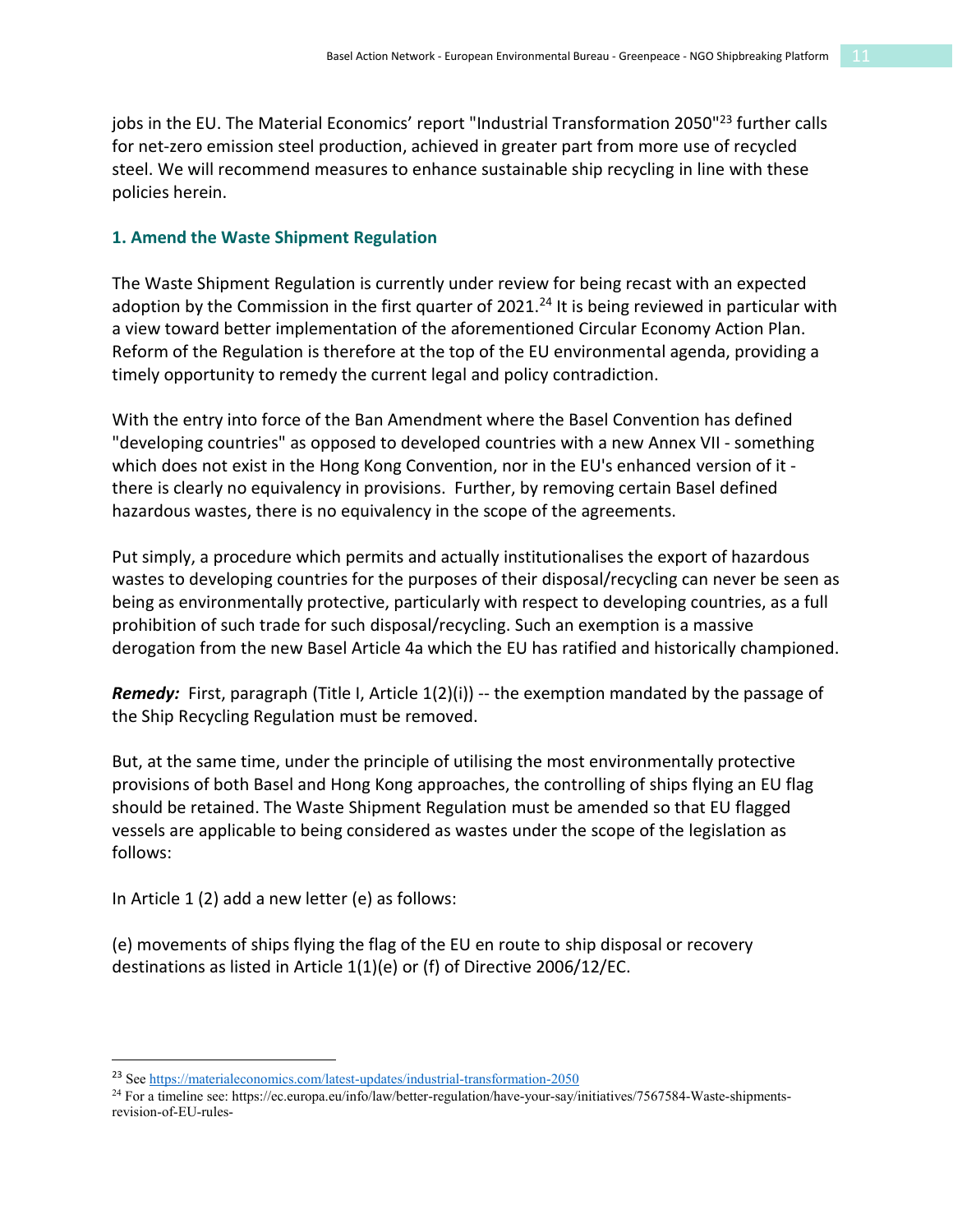jobs in the EU. The Material Economics' report "Industrial Transformation 2050"<sup>23</sup> further calls for net-zero emission steel production, achieved in greater part from more use of recycled steel. We will recommend measures to enhance sustainable ship recycling in line with these policies herein.

#### **1. Amend the Waste Shipment Regulation**

The Waste Shipment Regulation is currently under review for being recast with an expected adoption by the Commission in the first quarter of 2021.<sup>24</sup> It is being reviewed in particular with a view toward better implementation of the aforementioned Circular Economy Action Plan. Reform of the Regulation is therefore at the top of the EU environmental agenda, providing a timely opportunity to remedy the current legal and policy contradiction.

With the entry into force of the Ban Amendment where the Basel Convention has defined "developing countries" as opposed to developed countries with a new Annex VII - something which does not exist in the Hong Kong Convention, nor in the EU's enhanced version of it there is clearly no equivalency in provisions. Further, by removing certain Basel defined hazardous wastes, there is no equivalency in the scope of the agreements.

Put simply, a procedure which permits and actually institutionalises the export of hazardous wastes to developing countries for the purposes of their disposal/recycling can never be seen as being as environmentally protective, particularly with respect to developing countries, as a full prohibition of such trade for such disposal/recycling. Such an exemption is a massive derogation from the new Basel Article 4a which the EU has ratified and historically championed.

**Remedy:** First, paragraph (Title I, Article 1(2)(i)) -- the exemption mandated by the passage of the Ship Recycling Regulation must be removed.

But, at the same time, under the principle of utilising the most environmentally protective provisions of both Basel and Hong Kong approaches, the controlling of ships flying an EU flag should be retained. The Waste Shipment Regulation must be amended so that EU flagged vessels are applicable to being considered as wastes under the scope of the legislation as follows:

In Article 1 (2) add a new letter (e) as follows:

(e) movements of ships flying the flag of the EU en route to ship disposal or recovery destinations as listed in Article 1(1)(e) or (f) of Directive 2006/12/EC.

<sup>&</sup>lt;sup>23</sup> See<https://materialeconomics.com/latest-updates/industrial-transformation-2050>

<sup>24</sup> For a timeline see: https://ec.europa.eu/info/law/better-regulation/have-your-say/initiatives/7567584-Waste-shipmentsrevision-of-EU-rules-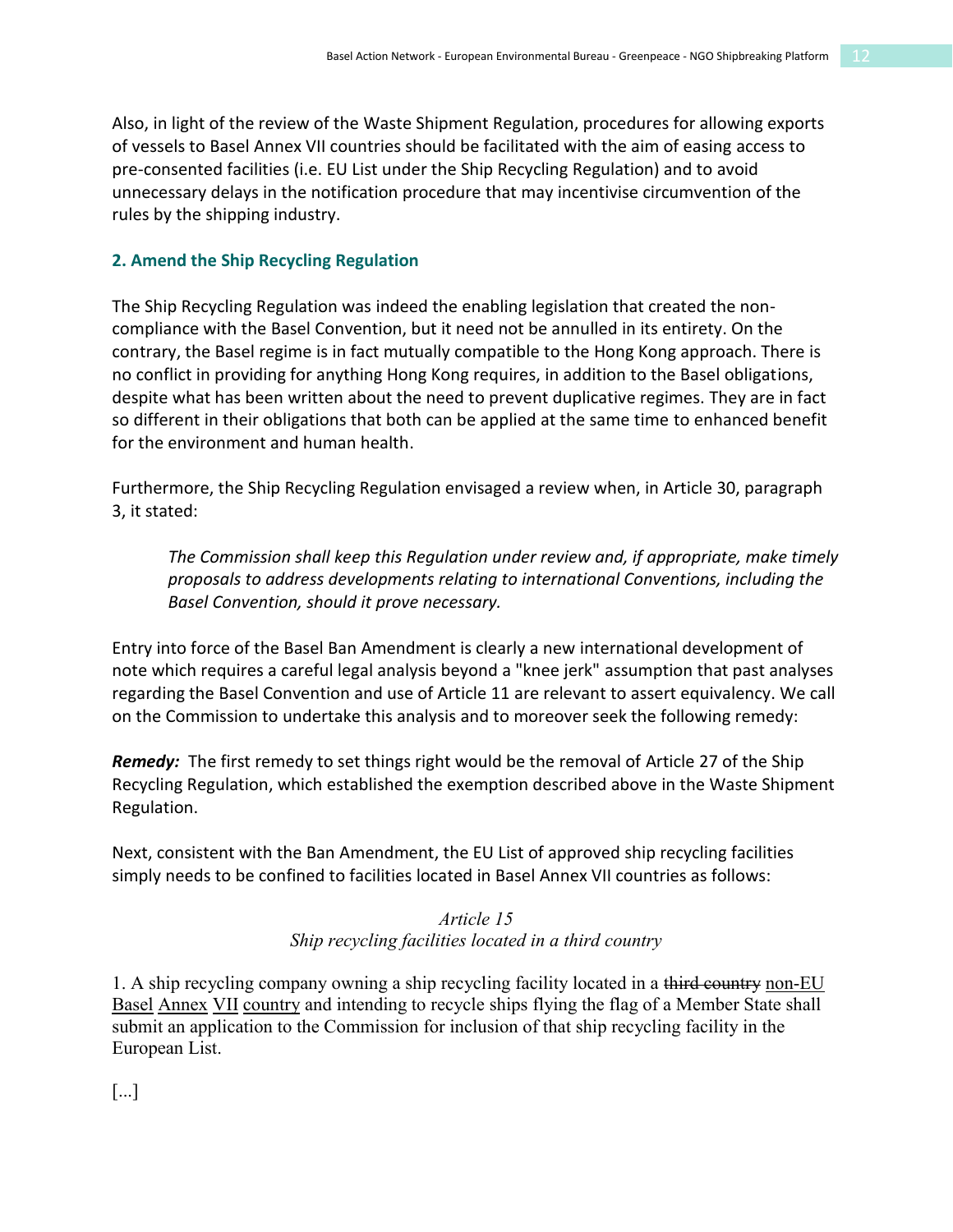Also, in light of the review of the Waste Shipment Regulation, procedures for allowing exports of vessels to Basel Annex VII countries should be facilitated with the aim of easing access to pre-consented facilities (i.e. EU List under the Ship Recycling Regulation) and to avoid unnecessary delays in the notification procedure that may incentivise circumvention of the rules by the shipping industry.

#### **2. Amend the Ship Recycling Regulation**

The Ship Recycling Regulation was indeed the enabling legislation that created the noncompliance with the Basel Convention, but it need not be annulled in its entirety. On the contrary, the Basel regime is in fact mutually compatible to the Hong Kong approach. There is no conflict in providing for anything Hong Kong requires, in addition to the Basel obligations, despite what has been written about the need to prevent duplicative regimes. They are in fact so different in their obligations that both can be applied at the same time to enhanced benefit for the environment and human health.

Furthermore, the Ship Recycling Regulation envisaged a review when, in Article 30, paragraph 3, it stated:

*The Commission shall keep this Regulation under review and, if appropriate, make timely proposals to address developments relating to international Conventions, including the Basel Convention, should it prove necessary.*

Entry into force of the Basel Ban Amendment is clearly a new international development of note which requires a careful legal analysis beyond a "knee jerk" assumption that past analyses regarding the Basel Convention and use of Article 11 are relevant to assert equivalency. We call on the Commission to undertake this analysis and to moreover seek the following remedy:

*Remedy:* The first remedy to set things right would be the removal of Article 27 of the Ship Recycling Regulation, which established the exemption described above in the Waste Shipment Regulation.

Next, consistent with the Ban Amendment, the EU List of approved ship recycling facilities simply needs to be confined to facilities located in Basel Annex VII countries as follows:

#### *Article 15 Ship recycling facilities located in a third country*

1. A ship recycling company owning a ship recycling facility located in a third country non-EU Basel Annex VII country and intending to recycle ships flying the flag of a Member State shall submit an application to the Commission for inclusion of that ship recycling facility in the European List.

[...]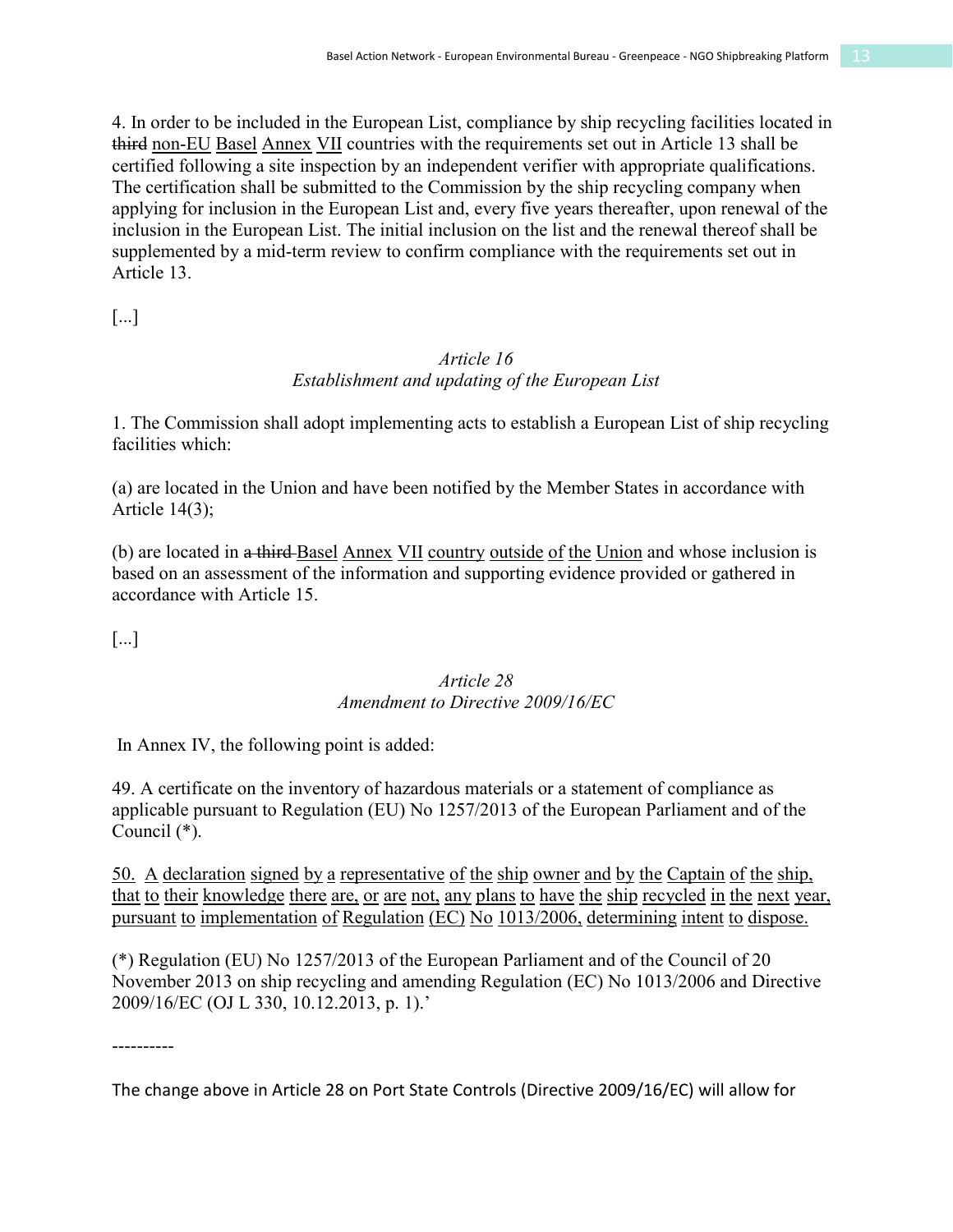4. In order to be included in the European List, compliance by ship recycling facilities located in third non-EU Basel Annex VII countries with the requirements set out in Article 13 shall be certified following a site inspection by an independent verifier with appropriate qualifications. The certification shall be submitted to the Commission by the ship recycling company when applying for inclusion in the European List and, every five years thereafter, upon renewal of the inclusion in the European List. The initial inclusion on the list and the renewal thereof shall be supplemented by a mid-term review to confirm compliance with the requirements set out in Article 13.

[...]

#### *Article 16 Establishment and updating of the European List*

1. The Commission shall adopt implementing acts to establish a European List of ship recycling facilities which:

(a) are located in the Union and have been notified by the Member States in accordance with Article  $14(3)$ ;

(b) are located in a third Basel Annex VII country outside of the Union and whose inclusion is based on an assessment of the information and supporting evidence provided or gathered in accordance with Article 15.

[...]

#### *Article 28 Amendment to Directive 2009/16/EC*

In Annex IV, the following point is added:

49. A certificate on the inventory of hazardous materials or a statement of compliance as applicable pursuant to Regulation (EU) No 1257/2013 of the European Parliament and of the Council (\*).

50. A declaration signed by a representative of the ship owner and by the Captain of the ship, that to their knowledge there are, or are not, any plans to have the ship recycled in the next year, pursuant to implementation of Regulation (EC) No 1013/2006, determining intent to dispose.

(\*) Regulation (EU) No 1257/2013 of the European Parliament and of the Council of 20 November 2013 on ship recycling and amending Regulation (EC) No 1013/2006 and Directive 2009/16/EC (OJ L 330, 10.12.2013, p. 1).'

----------

The change above in Article 28 on Port State Controls (Directive 2009/16/EC) will allow for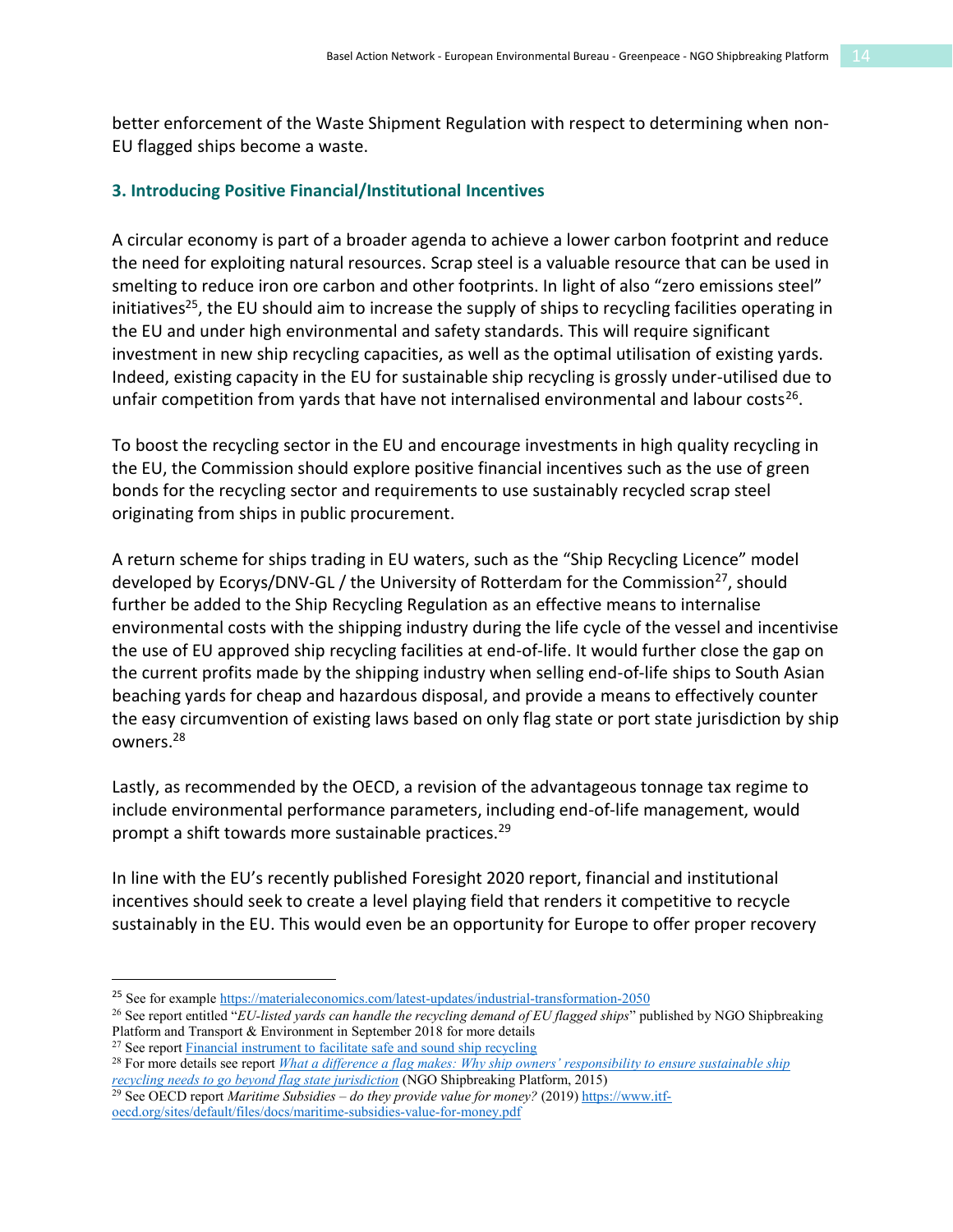better enforcement of the Waste Shipment Regulation with respect to determining when non-EU flagged ships become a waste.

#### **3. Introducing Positive Financial/Institutional Incentives**

A circular economy is part of a broader agenda to achieve a lower carbon footprint and reduce the need for exploiting natural resources. Scrap steel is a valuable resource that can be used in smelting to reduce iron ore carbon and other footprints. In light of also "zero emissions steel" initiatives<sup>25</sup>, the EU should aim to increase the supply of ships to recycling facilities operating in the EU and under high environmental and safety standards. This will require significant investment in new ship recycling capacities, as well as the optimal utilisation of existing yards. Indeed, existing capacity in the EU for sustainable ship recycling is grossly under-utilised due to unfair competition from yards that have not internalised environmental and labour costs<sup>26</sup>.

To boost the recycling sector in the EU and encourage investments in high quality recycling in the EU, the Commission should explore positive financial incentives such as the use of green bonds for the recycling sector and requirements to use sustainably recycled scrap steel originating from ships in public procurement.

A return scheme for ships trading in EU waters, such as the "Ship Recycling Licence" model developed by Ecorys/DNV-GL / the University of Rotterdam for the Commission<sup>27</sup>, should further be added to the Ship Recycling Regulation as an effective means to internalise environmental costs with the shipping industry during the life cycle of the vessel and incentivise the use of EU approved ship recycling facilities at end-of-life. It would further close the gap on the current profits made by the shipping industry when selling end-of-life ships to South Asian beaching yards for cheap and hazardous disposal, and provide a means to effectively counter the easy circumvention of existing laws based on only flag state or port state jurisdiction by ship owners. 28

Lastly, as recommended by the OECD, a revision of the advantageous tonnage tax regime to include environmental performance parameters, including end-of-life management, would prompt a shift towards more sustainable practices.<sup>29</sup>

In line with the EU's recently published Foresight 2020 report, financial and institutional incentives should seek to create a level playing field that renders it competitive to recycle sustainably in the EU. This would even be an opportunity for Europe to offer proper recovery

<sup>27</sup> See repor[t Financial instrument to facilitate](https://ec.europa.eu/environment/waste/ships/pdf/financial_instrument_ship_recycling.pdf) safe and sound ship recycling

```
28 For more details see report What a difference a flag makes: Why ship owners' responsibility to ensure sustainable ship 
recycling needs to go beyond flag state jurisdiction (NGO Shipbreaking Platform, 2015)
```

```
29 See OECD report Maritime Subsidies – do they provide value for money? (2019) https://www.itf-
oecd.org/sites/default/files/docs/maritime-subsidies-value-for-money.pdf
```
 <sup>25</sup> See for exampl[e https://materialeconomics.com/latest-updates/industrial-transformation-2050](https://materialeconomics.com/latest-updates/industrial-transformation-2050)

<sup>26</sup> See report entitled "*EU-listed yards can handle the recycling demand of EU flagged ships*" published by NGO Shipbreaking Platform and Transport & Environment in September 2018 for more details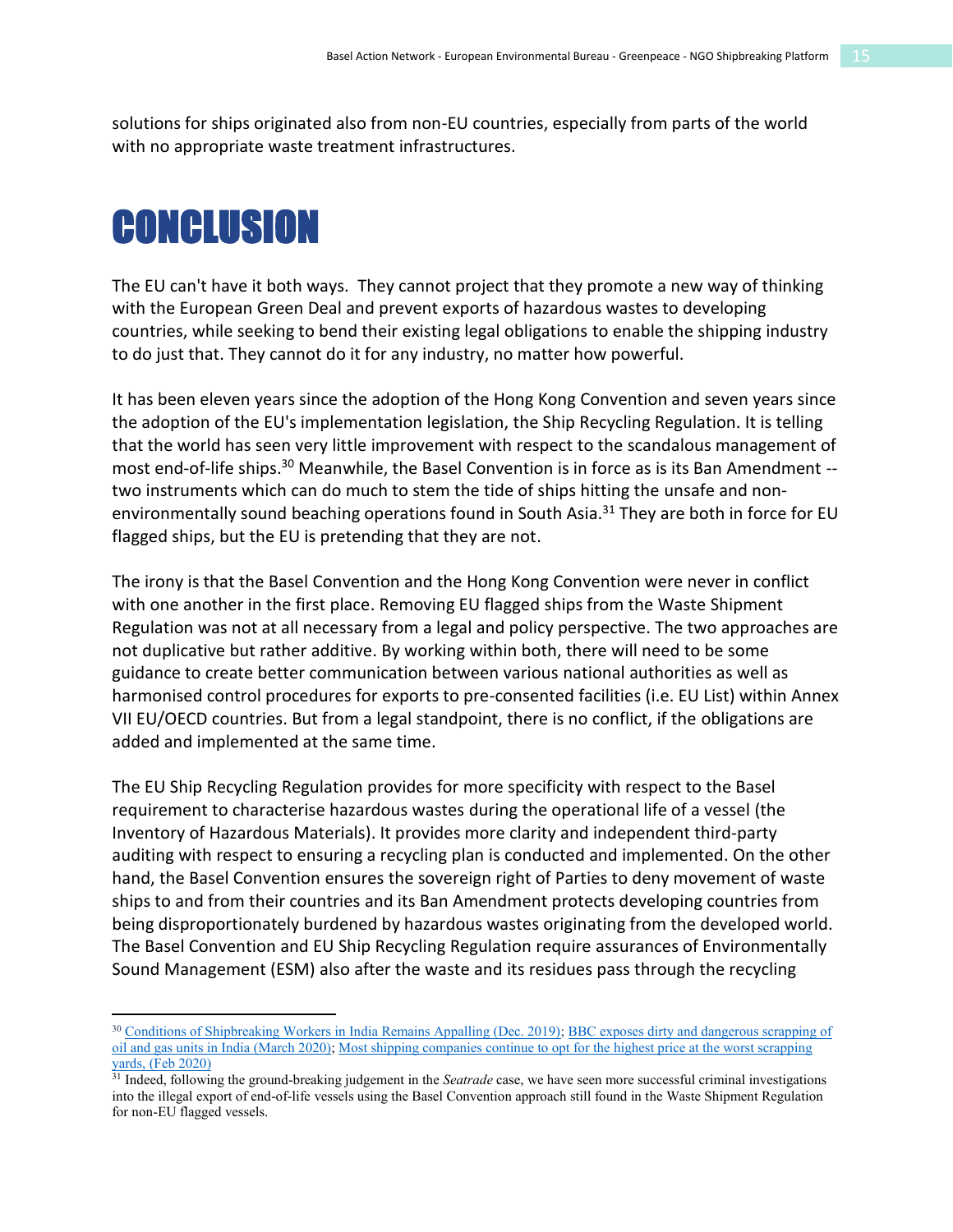solutions for ships originated also from non-EU countries, especially from parts of the world with no appropriate waste treatment infrastructures.

## **CONCLUSION**

 $\overline{a}$ 

The EU can't have it both ways. They cannot project that they promote a new way of thinking with the European Green Deal and prevent exports of hazardous wastes to developing countries, while seeking to bend their existing legal obligations to enable the shipping industry to do just that. They cannot do it for any industry, no matter how powerful.

It has been eleven years since the adoption of the Hong Kong Convention and seven years since the adoption of the EU's implementation legislation, the Ship Recycling Regulation. It is telling that the world has seen very little improvement with respect to the scandalous management of most end-of-life ships.<sup>30</sup> Meanwhile, the Basel Convention is in force as is its Ban Amendment -two instruments which can do much to stem the tide of ships hitting the unsafe and nonenvironmentally sound beaching operations found in South Asia.<sup>31</sup> They are both in force for EU flagged ships, but the EU is pretending that they are not.

The irony is that the Basel Convention and the Hong Kong Convention were never in conflict with one another in the first place. Removing EU flagged ships from the Waste Shipment Regulation was not at all necessary from a legal and policy perspective. The two approaches are not duplicative but rather additive. By working within both, there will need to be some guidance to create better communication between various national authorities as well as harmonised control procedures for exports to pre-consented facilities (i.e. EU List) within Annex VII EU/OECD countries. But from a legal standpoint, there is no conflict, if the obligations are added and implemented at the same time.

The EU Ship Recycling Regulation provides for more specificity with respect to the Basel requirement to characterise hazardous wastes during the operational life of a vessel (the Inventory of Hazardous Materials). It provides more clarity and independent third-party auditing with respect to ensuring a recycling plan is conducted and implemented. On the other hand, the Basel Convention ensures the sovereign right of Parties to deny movement of waste ships to and from their countries and its Ban Amendment protects developing countries from being disproportionately burdened by hazardous wastes originating from the developed world. The Basel Convention and EU Ship Recycling Regulation require assurances of Environmentally Sound Management (ESM) also after the waste and its residues pass through the recycling

<sup>30</sup> [Conditions of Shipbreaking Workers in India Remains Appalling \(Dec. 2019\);](https://www.shipbreakingplatform.org/new-study-tiss-alang-workers/) [BBC exposes dirty and dangerous scrapping of](https://www.shipbreakingplatform.org/bbc-disclosure-diamond-offshore/)  [oil and gas units in India \(March 2020\);](https://www.shipbreakingplatform.org/bbc-disclosure-diamond-offshore/) [Most shipping companies continue to opt for the highest price at the worst scrapping](https://www.shipbreakingplatform.org/platform-publishes-list-2019/)  [yards, \(Feb 2020\)](https://www.shipbreakingplatform.org/platform-publishes-list-2019/)

<sup>31</sup> Indeed, following the ground-breaking judgement in the *Seatrade* case, we have seen more successful criminal investigations into the illegal export of end-of-life vessels using the Basel Convention approach still found in the Waste Shipment Regulation for non-EU flagged vessels.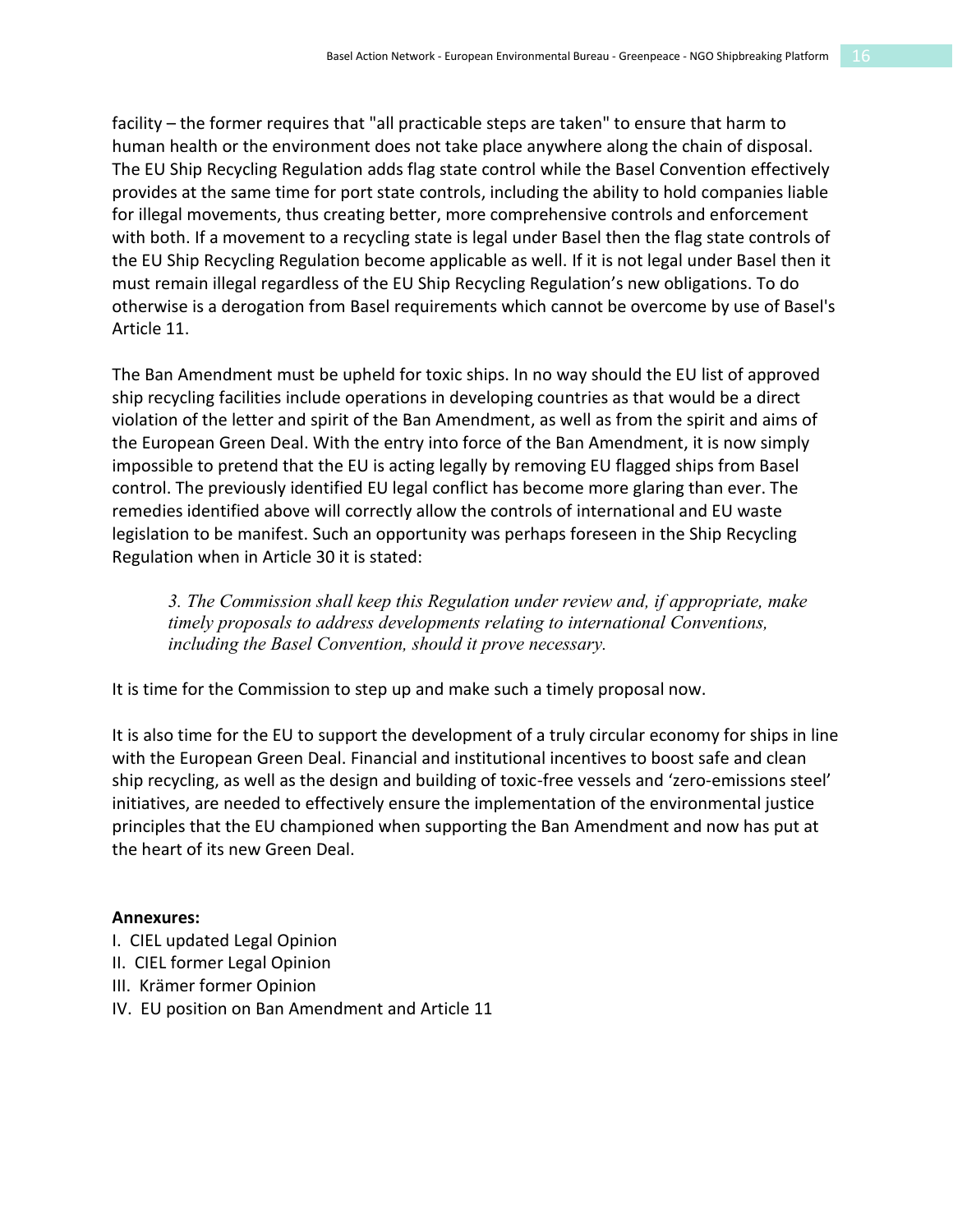facility – the former requires that "all practicable steps are taken" to ensure that harm to human health or the environment does not take place anywhere along the chain of disposal. The EU Ship Recycling Regulation adds flag state control while the Basel Convention effectively provides at the same time for port state controls, including the ability to hold companies liable for illegal movements, thus creating better, more comprehensive controls and enforcement with both. If a movement to a recycling state is legal under Basel then the flag state controls of the EU Ship Recycling Regulation become applicable as well. If it is not legal under Basel then it must remain illegal regardless of the EU Ship Recycling Regulation's new obligations. To do otherwise is a derogation from Basel requirements which cannot be overcome by use of Basel's Article 11.

The Ban Amendment must be upheld for toxic ships. In no way should the EU list of approved ship recycling facilities include operations in developing countries as that would be a direct violation of the letter and spirit of the Ban Amendment, as well as from the spirit and aims of the European Green Deal. With the entry into force of the Ban Amendment, it is now simply impossible to pretend that the EU is acting legally by removing EU flagged ships from Basel control. The previously identified EU legal conflict has become more glaring than ever. The remedies identified above will correctly allow the controls of international and EU waste legislation to be manifest. Such an opportunity was perhaps foreseen in the Ship Recycling Regulation when in Article 30 it is stated:

*3. The Commission shall keep this Regulation under review and, if appropriate, make timely proposals to address developments relating to international Conventions, including the Basel Convention, should it prove necessary.*

It is time for the Commission to step up and make such a timely proposal now.

It is also time for the EU to support the development of a truly circular economy for ships in line with the European Green Deal. Financial and institutional incentives to boost safe and clean ship recycling, as well as the design and building of toxic-free vessels and 'zero-emissions steel' initiatives, are needed to effectively ensure the implementation of the environmental justice principles that the EU championed when supporting the Ban Amendment and now has put at the heart of its new Green Deal.

#### **Annexures:**

- I. CIEL updated Legal Opinion
- II. CIEL former Legal Opinion
- III. Krämer former Opinion
- IV. EU position on Ban Amendment and Article 11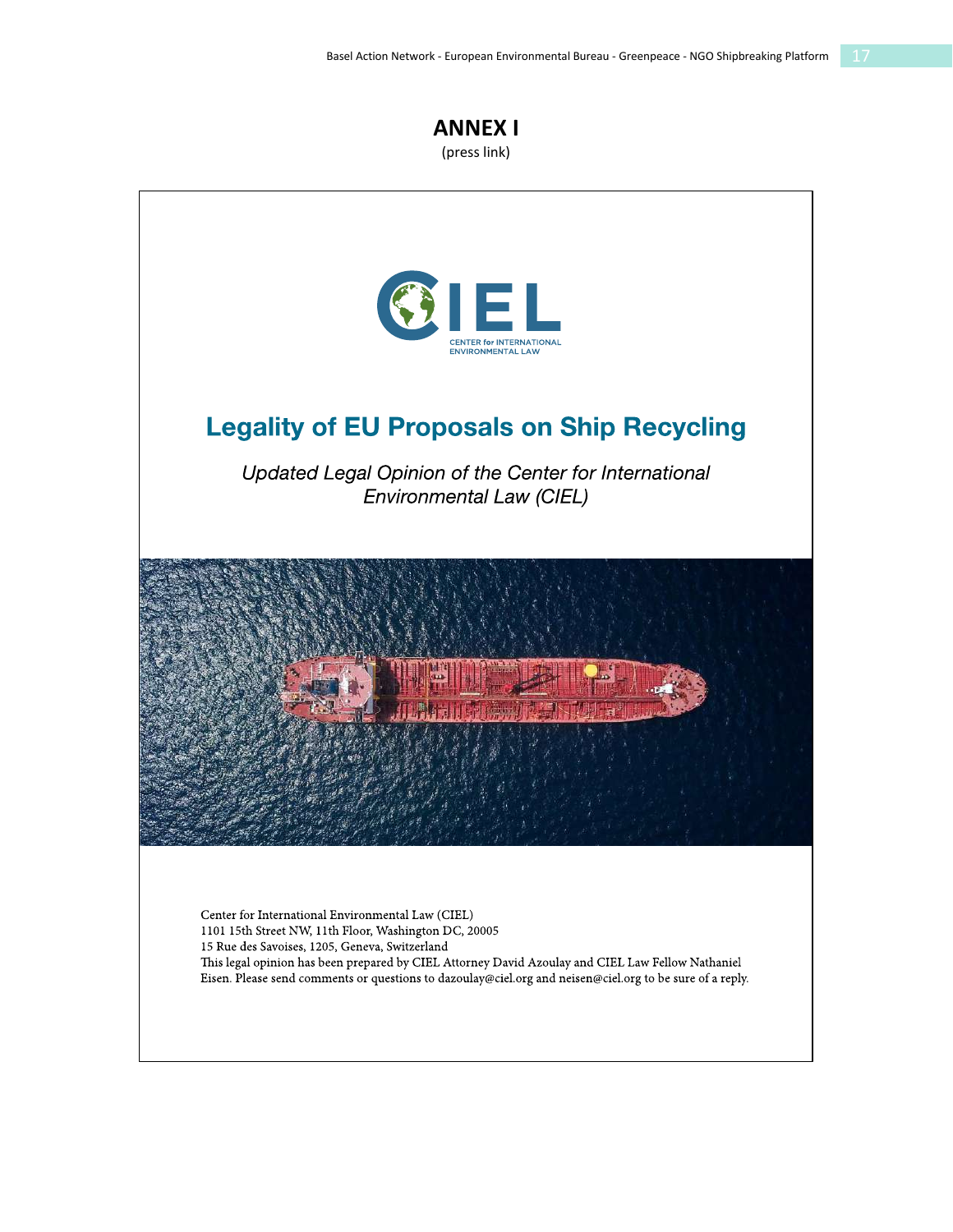

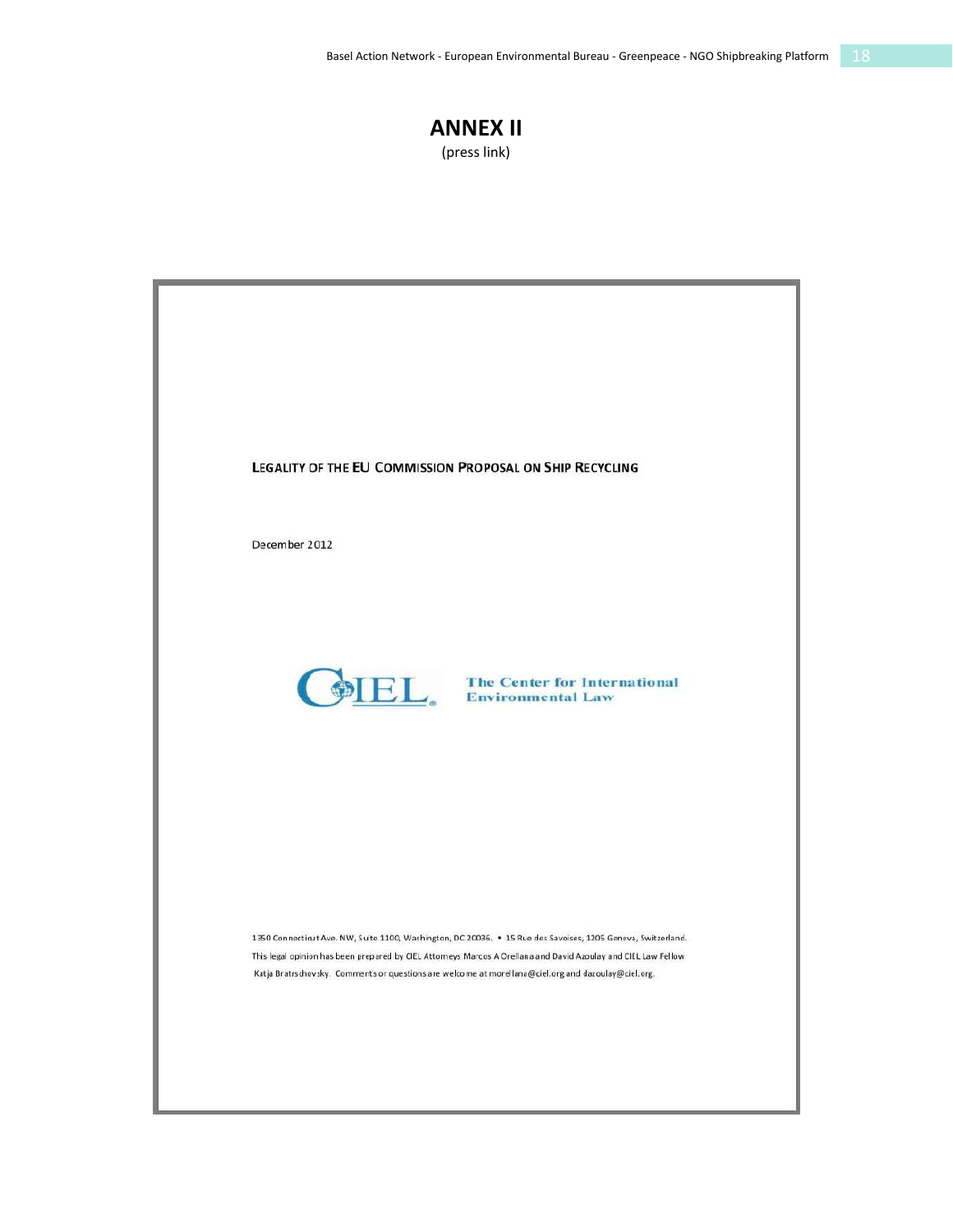#### **ANNEX II** (press link)

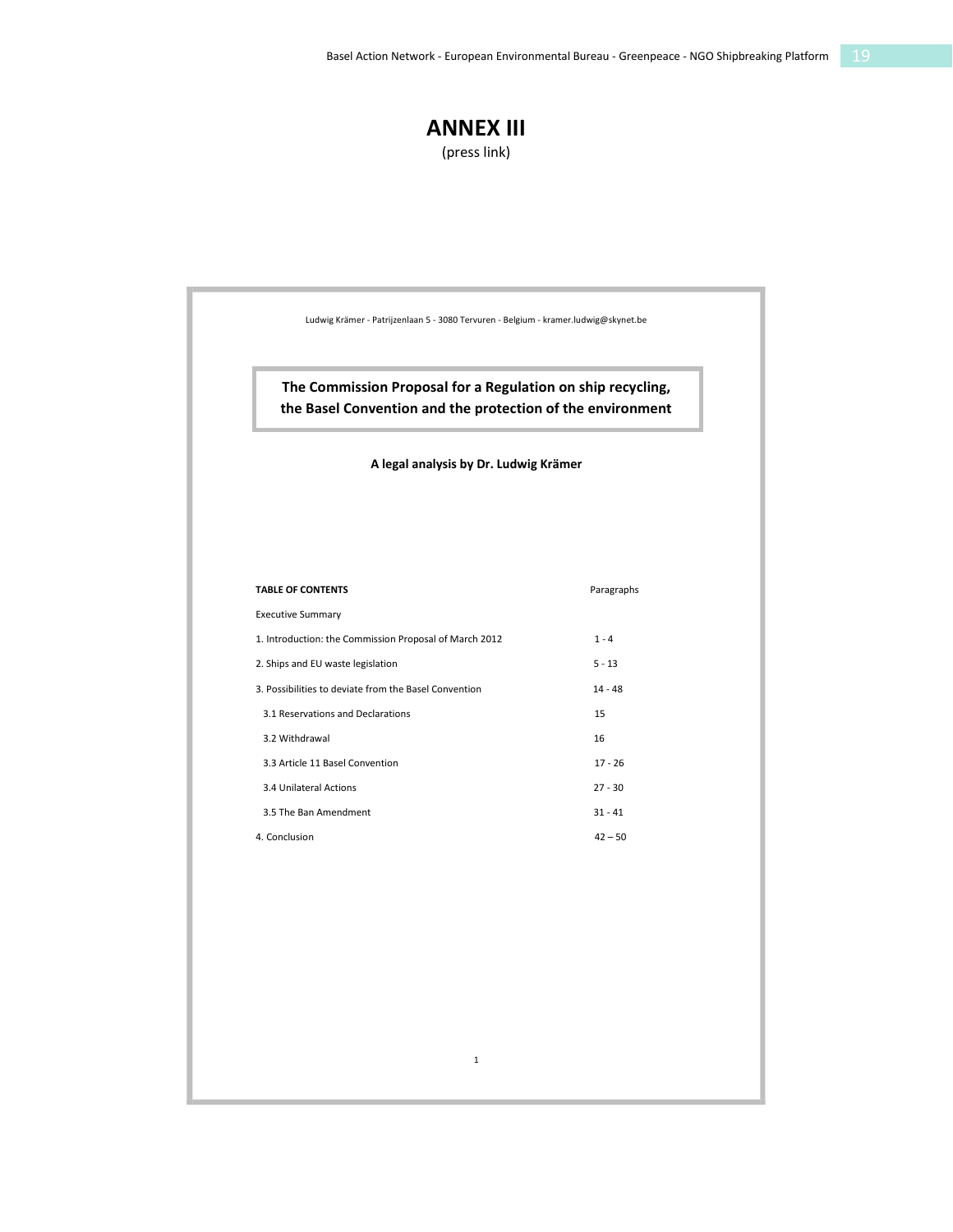### **ANNEX III**

(press link)

| The Commission Proposal for a Regulation on ship recycling,<br>the Basel Convention and the protection of the environment<br>A legal analysis by Dr. Ludwig Krämer |            |
|--------------------------------------------------------------------------------------------------------------------------------------------------------------------|------------|
|                                                                                                                                                                    |            |
| <b>TABLE OF CONTENTS</b>                                                                                                                                           | Paragraphs |
| <b>Executive Summary</b>                                                                                                                                           |            |
| 1. Introduction: the Commission Proposal of March 2012                                                                                                             | $1 - 4$    |
| 2. Ships and EU waste legislation                                                                                                                                  | $5 - 13$   |
| 3. Possibilities to deviate from the Basel Convention                                                                                                              | $14 - 48$  |
| 3.1 Reservations and Declarations                                                                                                                                  | 15         |
| 3.2 Withdrawal                                                                                                                                                     | 16         |
| 3.3 Article 11 Basel Convention                                                                                                                                    | $17 - 26$  |
| 3.4 Unilateral Actions                                                                                                                                             | $27 - 30$  |
| 3.5 The Ban Amendment                                                                                                                                              | $31 - 41$  |
| 4. Conclusion                                                                                                                                                      | $42 - 50$  |
|                                                                                                                                                                    |            |
|                                                                                                                                                                    |            |
|                                                                                                                                                                    |            |
|                                                                                                                                                                    |            |
|                                                                                                                                                                    |            |
|                                                                                                                                                                    |            |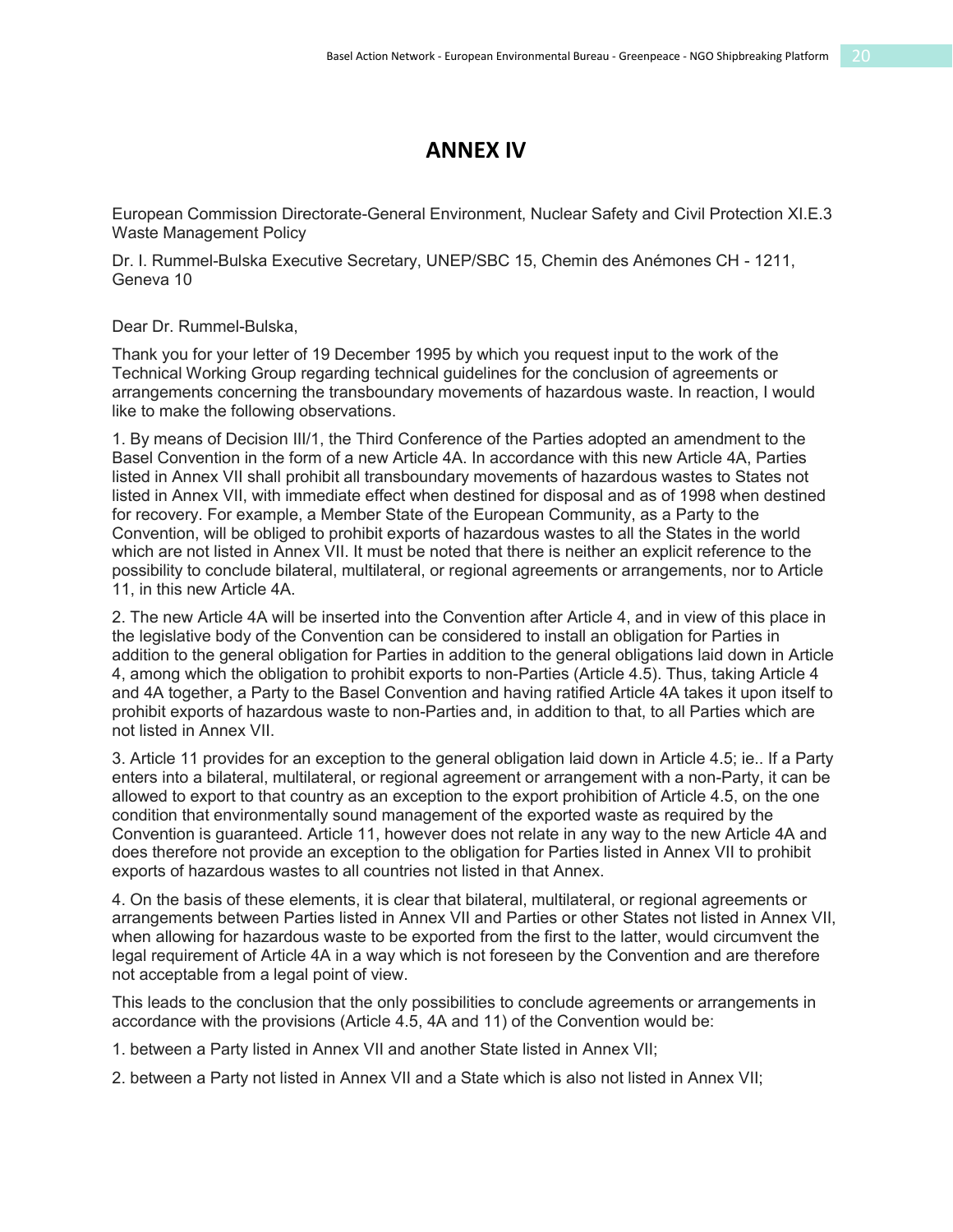### **ANNEX IV**

European Commission Directorate-General Environment, Nuclear Safety and Civil Protection XI.E.3 Waste Management Policy

Dr. I. Rummel-Bulska Executive Secretary, UNEP/SBC 15, Chemin des Anémones CH - 1211, Geneva 10

Dear Dr. Rummel-Bulska,

Thank you for your letter of 19 December 1995 by which you request input to the work of the Technical Working Group regarding technical guidelines for the conclusion of agreements or arrangements concerning the transboundary movements of hazardous waste. In reaction, I would like to make the following observations.

1. By means of Decision III/1, the Third Conference of the Parties adopted an amendment to the Basel Convention in the form of a new Article 4A. In accordance with this new Article 4A, Parties listed in Annex VII shall prohibit all transboundary movements of hazardous wastes to States not listed in Annex VII, with immediate effect when destined for disposal and as of 1998 when destined for recovery. For example, a Member State of the European Community, as a Party to the Convention, will be obliged to prohibit exports of hazardous wastes to all the States in the world which are not listed in Annex VII. It must be noted that there is neither an explicit reference to the possibility to conclude bilateral, multilateral, or regional agreements or arrangements, nor to Article 11, in this new Article 4A.

2. The new Article 4A will be inserted into the Convention after Article 4, and in view of this place in the legislative body of the Convention can be considered to install an obligation for Parties in addition to the general obligation for Parties in addition to the general obligations laid down in Article 4, among which the obligation to prohibit exports to non-Parties (Article 4.5). Thus, taking Article 4 and 4A together, a Party to the Basel Convention and having ratified Article 4A takes it upon itself to prohibit exports of hazardous waste to non-Parties and, in addition to that, to all Parties which are not listed in Annex VII.

3. Article 11 provides for an exception to the general obligation laid down in Article 4.5; ie.. If a Party enters into a bilateral, multilateral, or regional agreement or arrangement with a non-Party, it can be allowed to export to that country as an exception to the export prohibition of Article 4.5, on the one condition that environmentally sound management of the exported waste as required by the Convention is guaranteed. Article 11, however does not relate in any way to the new Article 4A and does therefore not provide an exception to the obligation for Parties listed in Annex VII to prohibit exports of hazardous wastes to all countries not listed in that Annex.

4. On the basis of these elements, it is clear that bilateral, multilateral, or regional agreements or arrangements between Parties listed in Annex VII and Parties or other States not listed in Annex VII, when allowing for hazardous waste to be exported from the first to the latter, would circumvent the legal requirement of Article 4A in a way which is not foreseen by the Convention and are therefore not acceptable from a legal point of view.

This leads to the conclusion that the only possibilities to conclude agreements or arrangements in accordance with the provisions (Article 4.5, 4A and 11) of the Convention would be:

1. between a Party listed in Annex VII and another State listed in Annex VII;

2. between a Party not listed in Annex VII and a State which is also not listed in Annex VII;